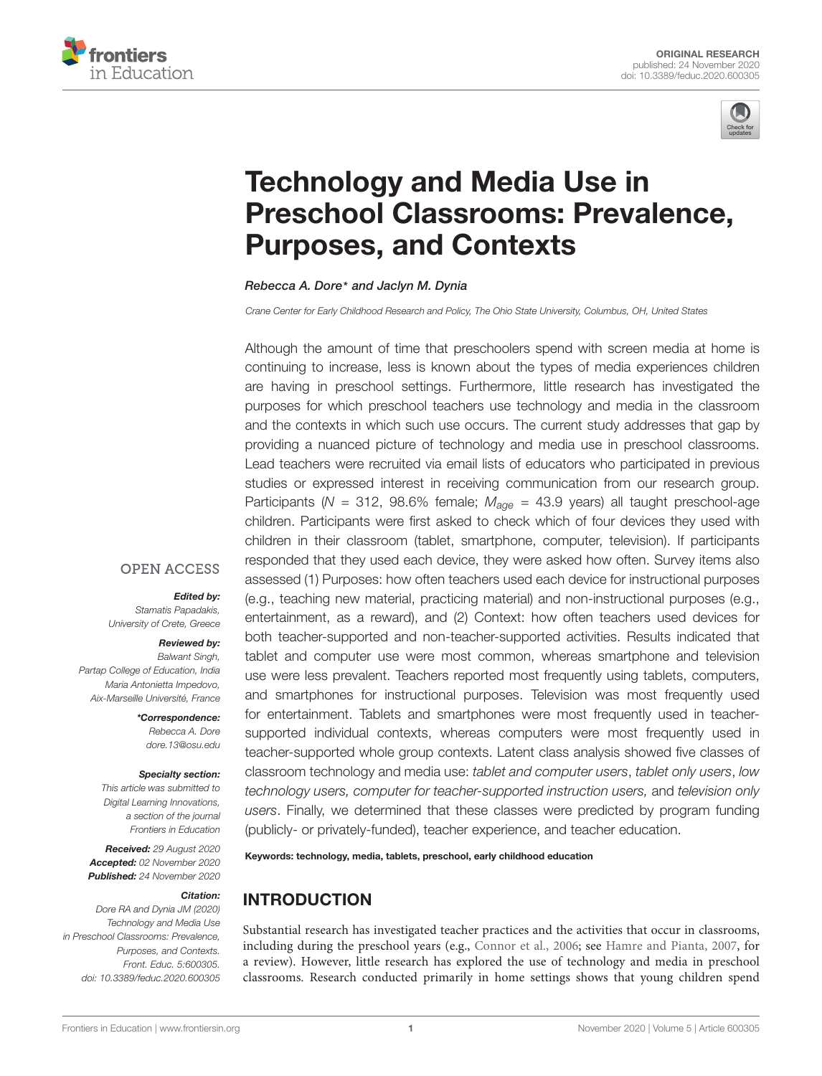



# Technology and Media Use in [Preschool Classrooms: Prevalence,](https://www.frontiersin.org/articles/10.3389/feduc.2020.600305/full) Purposes, and Contexts

#### Rebecca A. Dore\* and Jaclyn M. Dynia

Crane Center for Early Childhood Research and Policy, The Ohio State University, Columbus, OH, United States

Although the amount of time that preschoolers spend with screen media at home is continuing to increase, less is known about the types of media experiences children are having in preschool settings. Furthermore, little research has investigated the purposes for which preschool teachers use technology and media in the classroom and the contexts in which such use occurs. The current study addresses that gap by providing a nuanced picture of technology and media use in preschool classrooms. Lead teachers were recruited via email lists of educators who participated in previous studies or expressed interest in receiving communication from our research group. Participants (N = 312, 98.6% female;  $M_{\text{age}}$  = 43.9 years) all taught preschool-age children. Participants were first asked to check which of four devices they used with children in their classroom (tablet, smartphone, computer, television). If participants responded that they used each device, they were asked how often. Survey items also assessed (1) Purposes: how often teachers used each device for instructional purposes (e.g., teaching new material, practicing material) and non-instructional purposes (e.g., entertainment, as a reward), and (2) Context: how often teachers used devices for both teacher-supported and non-teacher-supported activities. Results indicated that tablet and computer use were most common, whereas smartphone and television use were less prevalent. Teachers reported most frequently using tablets, computers, and smartphones for instructional purposes. Television was most frequently used for entertainment. Tablets and smartphones were most frequently used in teachersupported individual contexts, whereas computers were most frequently used in teacher-supported whole group contexts. Latent class analysis showed five classes of classroom technology and media use: tablet and computer users, tablet only users, low technology users, computer for teacher-supported instruction users, and television only users. Finally, we determined that these classes were predicted by program funding (publicly- or privately-funded), teacher experience, and teacher education.

Keywords: technology, media, tablets, preschool, early childhood education

# INTRODUCTION

Substantial research has investigated teacher practices and the activities that occur in classrooms, including during the preschool years (e.g., [Connor et al.,](#page-12-0) [2006;](#page-12-0) see [Hamre and Pianta,](#page-12-1) [2007,](#page-12-1) for a review). However, little research has explored the use of technology and media in preschool classrooms. Research conducted primarily in home settings shows that young children spend

## **OPEN ACCESS**

#### Edited by:

Stamatis Papadakis, University of Crete, Greece

#### Reviewed by: Balwant Singh, Partap College of Education, India Maria Antonietta Impedovo, Aix-Marseille Université, France

\*Correspondence: Rebecca A. Dore dore.13@osu.edu

#### Specialty section:

This article was submitted to Digital Learning Innovations, a section of the journal Frontiers in Education

Received: 29 August 2020 Accepted: 02 November 2020 Published: 24 November 2020

#### Citation:

Dore RA and Dynia JM (2020) Technology and Media Use in Preschool Classrooms: Prevalence, Purposes, and Contexts. Front. Educ. 5:600305. doi: [10.3389/feduc.2020.600305](https://doi.org/10.3389/feduc.2020.600305)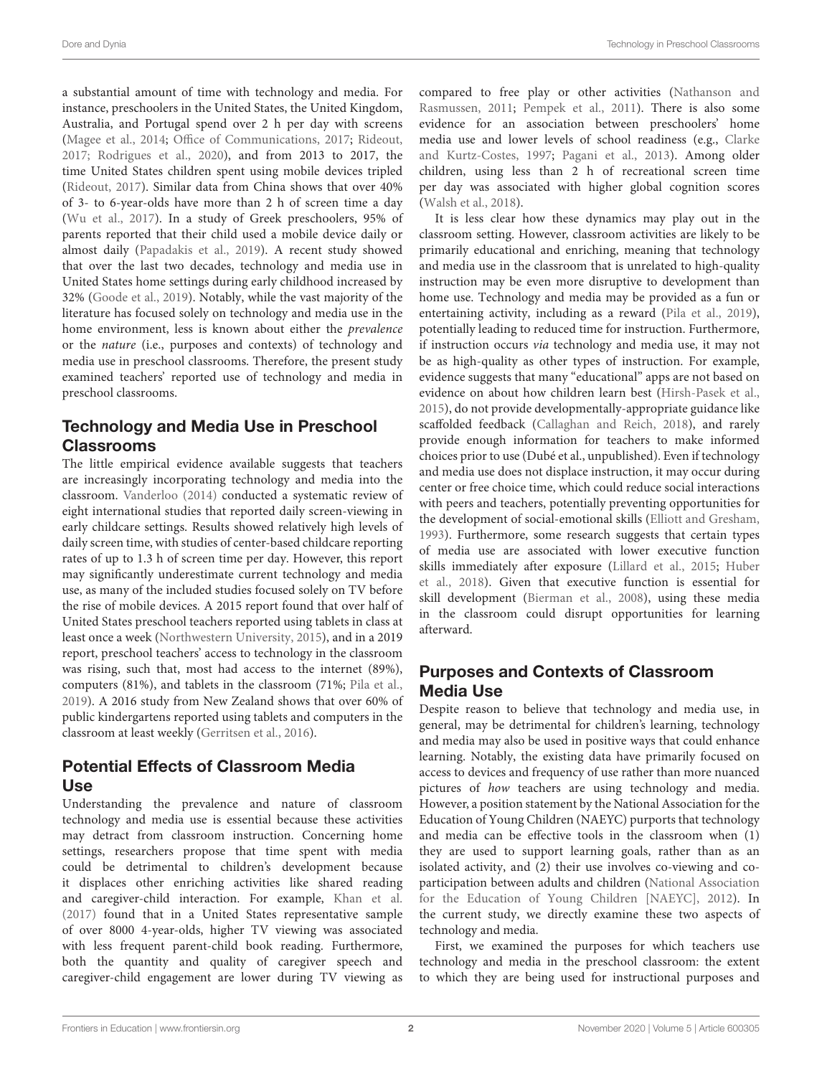a substantial amount of time with technology and media. For instance, preschoolers in the United States, the United Kingdom, Australia, and Portugal spend over 2 h per day with screens [\(Magee et al.,](#page-12-2) [2014;](#page-12-2) [Office of Communications,](#page-12-3) [2017;](#page-12-3) [Rideout,](#page-13-0) [2017;](#page-13-0) [Rodrigues et al.,](#page-13-1) [2020\)](#page-13-1), and from 2013 to 2017, the time United States children spent using mobile devices tripled [\(Rideout,](#page-13-0) [2017\)](#page-13-0). Similar data from China shows that over 40% of 3- to 6-year-olds have more than 2 h of screen time a day [\(Wu et al.,](#page-13-2) [2017\)](#page-13-2). In a study of Greek preschoolers, 95% of parents reported that their child used a mobile device daily or almost daily [\(Papadakis et al.,](#page-12-4) [2019\)](#page-12-4). A recent study showed that over the last two decades, technology and media use in United States home settings during early childhood increased by 32% [\(Goode et al.,](#page-12-5) [2019\)](#page-12-5). Notably, while the vast majority of the literature has focused solely on technology and media use in the home environment, less is known about either the prevalence or the nature (i.e., purposes and contexts) of technology and media use in preschool classrooms. Therefore, the present study examined teachers' reported use of technology and media in preschool classrooms.

## Technology and Media Use in Preschool Classrooms

The little empirical evidence available suggests that teachers are increasingly incorporating technology and media into the classroom. [Vanderloo](#page-13-3) [\(2014\)](#page-13-3) conducted a systematic review of eight international studies that reported daily screen-viewing in early childcare settings. Results showed relatively high levels of daily screen time, with studies of center-based childcare reporting rates of up to 1.3 h of screen time per day. However, this report may significantly underestimate current technology and media use, as many of the included studies focused solely on TV before the rise of mobile devices. A 2015 report found that over half of United States preschool teachers reported using tablets in class at least once a week [\(Northwestern University,](#page-12-6) [2015\)](#page-12-6), and in a 2019 report, preschool teachers' access to technology in the classroom was rising, such that, most had access to the internet (89%), computers (81%), and tablets in the classroom (71%; [Pila et al.,](#page-13-4) [2019\)](#page-13-4). A 2016 study from New Zealand shows that over 60% of public kindergartens reported using tablets and computers in the classroom at least weekly [\(Gerritsen et al.,](#page-12-7) [2016\)](#page-12-7).

## Potential Effects of Classroom Media Use

Understanding the prevalence and nature of classroom technology and media use is essential because these activities may detract from classroom instruction. Concerning home settings, researchers propose that time spent with media could be detrimental to children's development because it displaces other enriching activities like shared reading and caregiver-child interaction. For example, [Khan et al.](#page-12-8) [\(2017\)](#page-12-8) found that in a United States representative sample of over 8000 4-year-olds, higher TV viewing was associated with less frequent parent-child book reading. Furthermore, both the quantity and quality of caregiver speech and caregiver-child engagement are lower during TV viewing as compared to free play or other activities [\(Nathanson and](#page-12-9) [Rasmussen,](#page-12-9) [2011;](#page-12-9) [Pempek et al.,](#page-13-5) [2011\)](#page-13-5). There is also some evidence for an association between preschoolers' home media use and lower levels of school readiness (e.g., [Clarke](#page-12-10) [and Kurtz-Costes,](#page-12-10) [1997;](#page-12-10) [Pagani et al.,](#page-12-11) [2013\)](#page-12-11). Among older children, using less than 2 h of recreational screen time per day was associated with higher global cognition scores [\(Walsh et al.,](#page-13-6) [2018\)](#page-13-6).

It is less clear how these dynamics may play out in the classroom setting. However, classroom activities are likely to be primarily educational and enriching, meaning that technology and media use in the classroom that is unrelated to high-quality instruction may be even more disruptive to development than home use. Technology and media may be provided as a fun or entertaining activity, including as a reward [\(Pila et al.,](#page-13-4) [2019\)](#page-13-4), potentially leading to reduced time for instruction. Furthermore, if instruction occurs via technology and media use, it may not be as high-quality as other types of instruction. For example, evidence suggests that many "educational" apps are not based on evidence on about how children learn best [\(Hirsh-Pasek et al.,](#page-12-12) [2015\)](#page-12-12), do not provide developmentally-appropriate guidance like scaffolded feedback [\(Callaghan and Reich,](#page-12-13) [2018\)](#page-12-13), and rarely provide enough information for teachers to make informed choices prior to use (Dubé et al., unpublished). Even if technology and media use does not displace instruction, it may occur during center or free choice time, which could reduce social interactions with peers and teachers, potentially preventing opportunities for the development of social-emotional skills [\(Elliott and Gresham,](#page-12-14) [1993\)](#page-12-14). Furthermore, some research suggests that certain types of media use are associated with lower executive function skills immediately after exposure [\(Lillard et al.,](#page-12-15) [2015;](#page-12-15) [Huber](#page-12-16) [et al.,](#page-12-16) [2018\)](#page-12-16). Given that executive function is essential for skill development [\(Bierman et al.,](#page-12-17) [2008\)](#page-12-17), using these media in the classroom could disrupt opportunities for learning afterward.

## Purposes and Contexts of Classroom Media Use

Despite reason to believe that technology and media use, in general, may be detrimental for children's learning, technology and media may also be used in positive ways that could enhance learning. Notably, the existing data have primarily focused on access to devices and frequency of use rather than more nuanced pictures of how teachers are using technology and media. However, a position statement by the National Association for the Education of Young Children (NAEYC) purports that technology and media can be effective tools in the classroom when (1) they are used to support learning goals, rather than as an isolated activity, and (2) their use involves co-viewing and coparticipation between adults and children [\(National Association](#page-12-18) [for the Education of Young Children \[NAEYC\],](#page-12-18) [2012\)](#page-12-18). In the current study, we directly examine these two aspects of technology and media.

First, we examined the purposes for which teachers use technology and media in the preschool classroom: the extent to which they are being used for instructional purposes and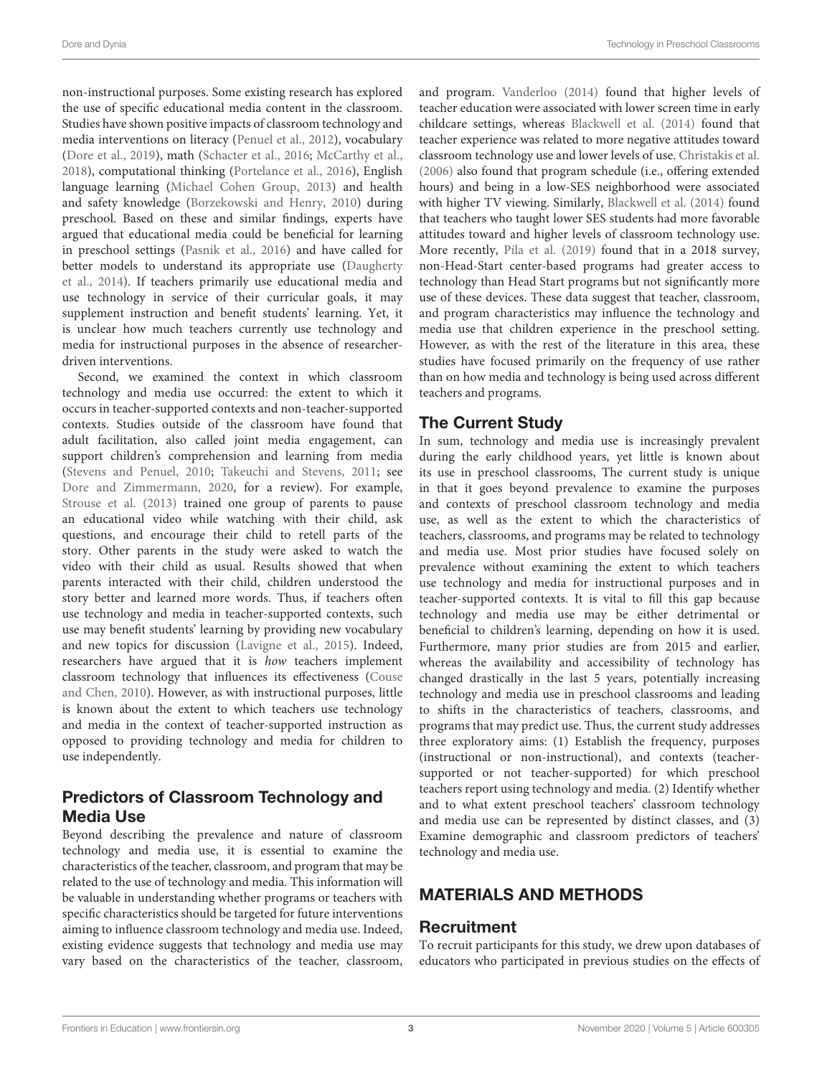non-instructional purposes. Some existing research has explored the use of specific educational media content in the classroom. Studies have shown positive impacts of classroom technology and media interventions on literacy [\(Penuel et al.,](#page-13-7) [2012\)](#page-13-7), vocabulary [\(Dore et al.,](#page-12-19) [2019\)](#page-12-19), math [\(Schacter et al.,](#page-13-8) [2016;](#page-13-8) [McCarthy et al.,](#page-12-20) [2018\)](#page-12-20), computational thinking [\(Portelance et al.,](#page-13-9) [2016\)](#page-13-9), English language learning [\(Michael Cohen Group,](#page-12-21) [2013\)](#page-12-21) and health and safety knowledge [\(Borzekowski and Henry,](#page-12-22) [2010\)](#page-12-22) during preschool. Based on these and similar findings, experts have argued that educational media could be beneficial for learning in preschool settings [\(Pasnik et al.,](#page-12-23) [2016\)](#page-12-23) and have called for better models to understand its appropriate use [\(Daugherty](#page-12-24) [et al.,](#page-12-24) [2014\)](#page-12-24). If teachers primarily use educational media and use technology in service of their curricular goals, it may supplement instruction and benefit students' learning. Yet, it is unclear how much teachers currently use technology and media for instructional purposes in the absence of researcherdriven interventions.

Second, we examined the context in which classroom technology and media use occurred: the extent to which it occurs in teacher-supported contexts and non-teacher-supported contexts. Studies outside of the classroom have found that adult facilitation, also called joint media engagement, can support children's comprehension and learning from media [\(Stevens and Penuel,](#page-13-10) [2010;](#page-13-10) [Takeuchi and Stevens,](#page-13-11) [2011;](#page-13-11) see [Dore and Zimmermann,](#page-12-25) [2020,](#page-12-25) for a review). For example, [Strouse et al.](#page-13-12) [\(2013\)](#page-13-12) trained one group of parents to pause an educational video while watching with their child, ask questions, and encourage their child to retell parts of the story. Other parents in the study were asked to watch the video with their child as usual. Results showed that when parents interacted with their child, children understood the story better and learned more words. Thus, if teachers often use technology and media in teacher-supported contexts, such use may benefit students' learning by providing new vocabulary and new topics for discussion [\(Lavigne et al.,](#page-12-26) [2015\)](#page-12-26). Indeed, researchers have argued that it is how teachers implement classroom technology that influences its effectiveness [\(Couse](#page-12-27) [and Chen,](#page-12-27) [2010\)](#page-12-27). However, as with instructional purposes, little is known about the extent to which teachers use technology and media in the context of teacher-supported instruction as opposed to providing technology and media for children to use independently.

# Predictors of Classroom Technology and Media Use

Beyond describing the prevalence and nature of classroom technology and media use, it is essential to examine the characteristics of the teacher, classroom, and program that may be related to the use of technology and media. This information will be valuable in understanding whether programs or teachers with specific characteristics should be targeted for future interventions aiming to influence classroom technology and media use. Indeed, existing evidence suggests that technology and media use may vary based on the characteristics of the teacher, classroom,

and program. [Vanderloo](#page-13-3) [\(2014\)](#page-13-3) found that higher levels of teacher education were associated with lower screen time in early childcare settings, whereas [Blackwell et al.](#page-12-28) [\(2014\)](#page-12-28) found that teacher experience was related to more negative attitudes toward classroom technology use and lower levels of use. [Christakis et al.](#page-12-29) [\(2006\)](#page-12-29) also found that program schedule (i.e., offering extended hours) and being in a low-SES neighborhood were associated with higher TV viewing. Similarly, [Blackwell et al.](#page-12-28) [\(2014\)](#page-12-28) found that teachers who taught lower SES students had more favorable attitudes toward and higher levels of classroom technology use. More recently, [Pila et al.](#page-13-4) [\(2019\)](#page-13-4) found that in a 2018 survey, non-Head-Start center-based programs had greater access to technology than Head Start programs but not significantly more use of these devices. These data suggest that teacher, classroom, and program characteristics may influence the technology and media use that children experience in the preschool setting. However, as with the rest of the literature in this area, these studies have focused primarily on the frequency of use rather than on how media and technology is being used across different teachers and programs.

# The Current Study

In sum, technology and media use is increasingly prevalent during the early childhood years, yet little is known about its use in preschool classrooms, The current study is unique in that it goes beyond prevalence to examine the purposes and contexts of preschool classroom technology and media use, as well as the extent to which the characteristics of teachers, classrooms, and programs may be related to technology and media use. Most prior studies have focused solely on prevalence without examining the extent to which teachers use technology and media for instructional purposes and in teacher-supported contexts. It is vital to fill this gap because technology and media use may be either detrimental or beneficial to children's learning, depending on how it is used. Furthermore, many prior studies are from 2015 and earlier, whereas the availability and accessibility of technology has changed drastically in the last 5 years, potentially increasing technology and media use in preschool classrooms and leading to shifts in the characteristics of teachers, classrooms, and programs that may predict use. Thus, the current study addresses three exploratory aims: (1) Establish the frequency, purposes (instructional or non-instructional), and contexts (teachersupported or not teacher-supported) for which preschool teachers report using technology and media. (2) Identify whether and to what extent preschool teachers' classroom technology and media use can be represented by distinct classes, and (3) Examine demographic and classroom predictors of teachers' technology and media use.

# MATERIALS AND METHODS

## **Recruitment**

To recruit participants for this study, we drew upon databases of educators who participated in previous studies on the effects of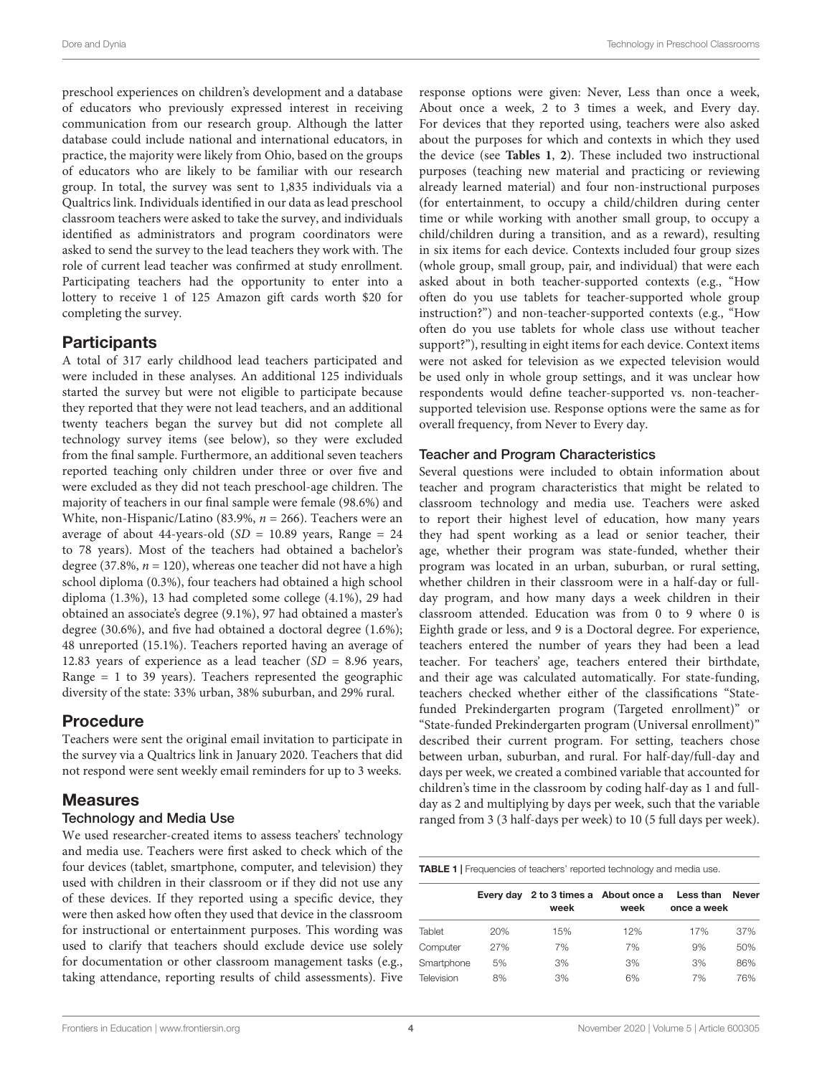preschool experiences on children's development and a database of educators who previously expressed interest in receiving communication from our research group. Although the latter database could include national and international educators, in practice, the majority were likely from Ohio, based on the groups of educators who are likely to be familiar with our research group. In total, the survey was sent to 1,835 individuals via a Qualtrics link. Individuals identified in our data as lead preschool classroom teachers were asked to take the survey, and individuals identified as administrators and program coordinators were asked to send the survey to the lead teachers they work with. The role of current lead teacher was confirmed at study enrollment. Participating teachers had the opportunity to enter into a lottery to receive 1 of 125 Amazon gift cards worth \$20 for completing the survey.

## **Participants**

A total of 317 early childhood lead teachers participated and were included in these analyses. An additional 125 individuals started the survey but were not eligible to participate because they reported that they were not lead teachers, and an additional twenty teachers began the survey but did not complete all technology survey items (see below), so they were excluded from the final sample. Furthermore, an additional seven teachers reported teaching only children under three or over five and were excluded as they did not teach preschool-age children. The majority of teachers in our final sample were female (98.6%) and White, non-Hispanic/Latino (83.9%,  $n = 266$ ). Teachers were an average of about 44-years-old  $(SD = 10.89$  years, Range = 24 to 78 years). Most of the teachers had obtained a bachelor's degree (37.8%,  $n = 120$ ), whereas one teacher did not have a high school diploma (0.3%), four teachers had obtained a high school diploma (1.3%), 13 had completed some college (4.1%), 29 had obtained an associate's degree (9.1%), 97 had obtained a master's degree (30.6%), and five had obtained a doctoral degree (1.6%); 48 unreported (15.1%). Teachers reported having an average of 12.83 years of experience as a lead teacher  $(SD = 8.96$  years, Range = 1 to 39 years). Teachers represented the geographic diversity of the state: 33% urban, 38% suburban, and 29% rural.

## Procedure

Teachers were sent the original email invitation to participate in the survey via a Qualtrics link in January 2020. Teachers that did not respond were sent weekly email reminders for up to 3 weeks.

## Measures

## Technology and Media Use

We used researcher-created items to assess teachers' technology and media use. Teachers were first asked to check which of the four devices (tablet, smartphone, computer, and television) they used with children in their classroom or if they did not use any of these devices. If they reported using a specific device, they were then asked how often they used that device in the classroom for instructional or entertainment purposes. This wording was used to clarify that teachers should exclude device use solely for documentation or other classroom management tasks (e.g., taking attendance, reporting results of child assessments). Five

response options were given: Never, Less than once a week, About once a week, 2 to 3 times a week, and Every day. For devices that they reported using, teachers were also asked about the purposes for which and contexts in which they used the device (see **[Tables 1](#page-3-0)**, **[2](#page-4-0)**). These included two instructional purposes (teaching new material and practicing or reviewing already learned material) and four non-instructional purposes (for entertainment, to occupy a child/children during center time or while working with another small group, to occupy a child/children during a transition, and as a reward), resulting in six items for each device. Contexts included four group sizes (whole group, small group, pair, and individual) that were each asked about in both teacher-supported contexts (e.g., "How often do you use tablets for teacher-supported whole group instruction?") and non-teacher-supported contexts (e.g., "How often do you use tablets for whole class use without teacher support?"), resulting in eight items for each device. Context items were not asked for television as we expected television would be used only in whole group settings, and it was unclear how respondents would define teacher-supported vs. non-teachersupported television use. Response options were the same as for overall frequency, from Never to Every day.

#### Teacher and Program Characteristics

Several questions were included to obtain information about teacher and program characteristics that might be related to classroom technology and media use. Teachers were asked to report their highest level of education, how many years they had spent working as a lead or senior teacher, their age, whether their program was state-funded, whether their program was located in an urban, suburban, or rural setting, whether children in their classroom were in a half-day or fullday program, and how many days a week children in their classroom attended. Education was from 0 to 9 where 0 is Eighth grade or less, and 9 is a Doctoral degree. For experience, teachers entered the number of years they had been a lead teacher. For teachers' age, teachers entered their birthdate, and their age was calculated automatically. For state-funding, teachers checked whether either of the classifications "Statefunded Prekindergarten program (Targeted enrollment)" or "State-funded Prekindergarten program (Universal enrollment)" described their current program. For setting, teachers chose between urban, suburban, and rural. For half-day/full-day and days per week, we created a combined variable that accounted for children's time in the classroom by coding half-day as 1 and fullday as 2 and multiplying by days per week, such that the variable ranged from 3 (3 half-days per week) to 10 (5 full days per week).

<span id="page-3-0"></span>TABLE 1 | Frequencies of teachers' reported technology and media use.

|            |     | Every day 2 to 3 times a About once a<br>week | week | Less than<br>once a week | Never |
|------------|-----|-----------------------------------------------|------|--------------------------|-------|
| Tablet     | 20% | 15%                                           | 12%  | 17%                      | 37%   |
| Computer   | 27% | 7%                                            | 7%   | 9%                       | 50%   |
| Smartphone | 5%  | 3%                                            | 3%   | 3%                       | 86%   |
| Television | 8%  | 3%                                            | 6%   | 7%                       | 76%   |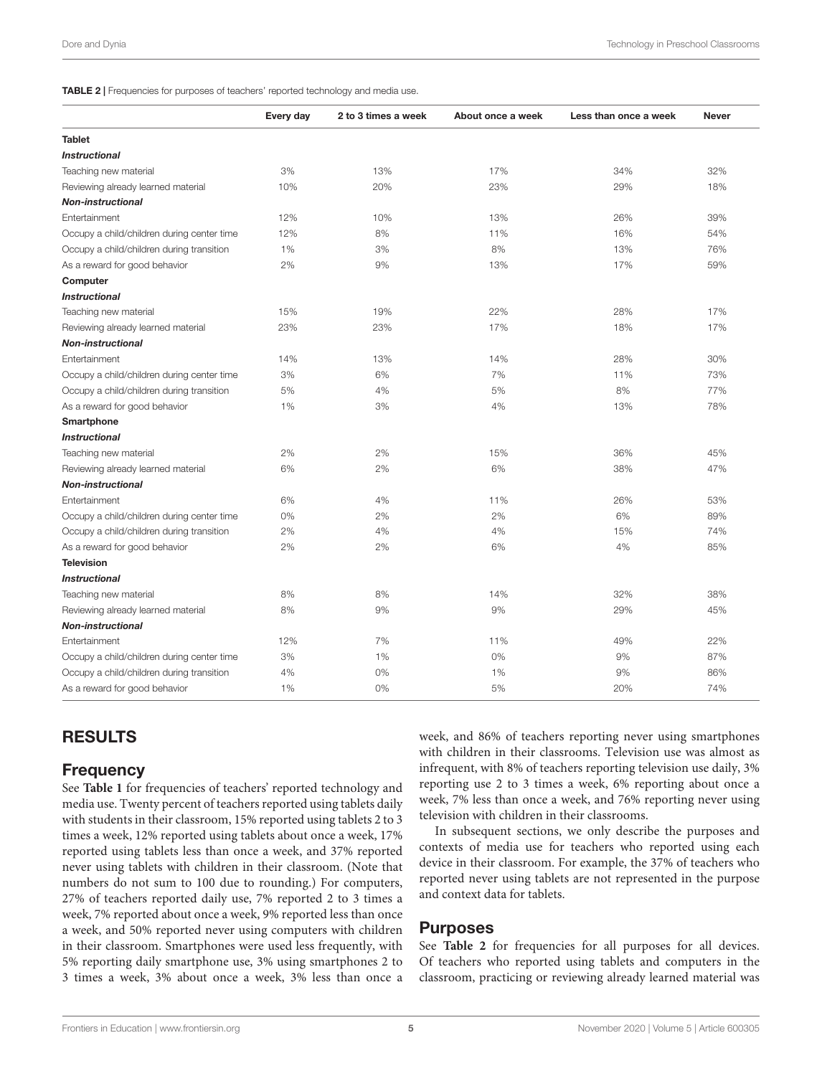<span id="page-4-0"></span>TABLE 2 | Frequencies for purposes of teachers' reported technology and media use.

|                                            | Every day | 2 to 3 times a week | About once a week | Less than once a week | <b>Never</b> |
|--------------------------------------------|-----------|---------------------|-------------------|-----------------------|--------------|
| <b>Tablet</b>                              |           |                     |                   |                       |              |
| <i><b>Instructional</b></i>                |           |                     |                   |                       |              |
| Teaching new material                      | 3%        | 13%                 | 17%               | 34%                   | 32%          |
| Reviewing already learned material         | 10%       | 20%                 | 23%               | 29%                   | 18%          |
| Non-instructional                          |           |                     |                   |                       |              |
| Entertainment                              | 12%       | 10%                 | 13%               | 26%                   | 39%          |
| Occupy a child/children during center time | 12%       | 8%                  | 11%               | 16%                   | 54%          |
| Occupy a child/children during transition  | 1%        | 3%                  | 8%                | 13%                   | 76%          |
| As a reward for good behavior              | 2%        | 9%                  | 13%               | 17%                   | 59%          |
| Computer                                   |           |                     |                   |                       |              |
| <i><b>Instructional</b></i>                |           |                     |                   |                       |              |
| Teaching new material                      | 15%       | 19%                 | 22%               | 28%                   | 17%          |
| Reviewing already learned material         | 23%       | 23%                 | 17%               | 18%                   | 17%          |
| Non-instructional                          |           |                     |                   |                       |              |
| Entertainment                              | 14%       | 13%                 | 14%               | 28%                   | 30%          |
| Occupy a child/children during center time | 3%        | 6%                  | 7%                | 11%                   | 73%          |
| Occupy a child/children during transition  | 5%        | 4%                  | 5%                | 8%                    | 77%          |
| As a reward for good behavior              | 1%        | 3%                  | 4%                | 13%                   | 78%          |
| Smartphone                                 |           |                     |                   |                       |              |
| <b>Instructional</b>                       |           |                     |                   |                       |              |
| Teaching new material                      | 2%        | 2%                  | 15%               | 36%                   | 45%          |
| Reviewing already learned material         | 6%        | 2%                  | 6%                | 38%                   | 47%          |
| <b>Non-instructional</b>                   |           |                     |                   |                       |              |
| Entertainment                              | 6%        | 4%                  | 11%               | 26%                   | 53%          |
| Occupy a child/children during center time | 0%        | 2%                  | 2%                | 6%                    | 89%          |
| Occupy a child/children during transition  | 2%        | 4%                  | 4%                | 15%                   | 74%          |
| As a reward for good behavior              | 2%        | 2%                  | 6%                | 4%                    | 85%          |
| <b>Television</b>                          |           |                     |                   |                       |              |
| Instructional                              |           |                     |                   |                       |              |
| Teaching new material                      | 8%        | 8%                  | 14%               | 32%                   | 38%          |
| Reviewing already learned material         | 8%        | 9%                  | 9%                | 29%                   | 45%          |
| <b>Non-instructional</b>                   |           |                     |                   |                       |              |
| Entertainment                              | 12%       | 7%                  | 11%               | 49%                   | 22%          |
| Occupy a child/children during center time | 3%        | 1%                  | 0%                | 9%                    | 87%          |
| Occupy a child/children during transition  | 4%        | 0%                  | 1%                | 9%                    | 86%          |
| As a reward for good behavior              | 1%        | 0%                  | 5%                | 20%                   | 74%          |

# RESULTS

## **Frequency**

See **[Table 1](#page-3-0)** for frequencies of teachers' reported technology and media use. Twenty percent of teachers reported using tablets daily with students in their classroom, 15% reported using tablets 2 to 3 times a week, 12% reported using tablets about once a week, 17% reported using tablets less than once a week, and 37% reported never using tablets with children in their classroom. (Note that numbers do not sum to 100 due to rounding.) For computers, 27% of teachers reported daily use, 7% reported 2 to 3 times a week, 7% reported about once a week, 9% reported less than once a week, and 50% reported never using computers with children in their classroom. Smartphones were used less frequently, with 5% reporting daily smartphone use, 3% using smartphones 2 to 3 times a week, 3% about once a week, 3% less than once a

week, and 86% of teachers reporting never using smartphones with children in their classrooms. Television use was almost as infrequent, with 8% of teachers reporting television use daily, 3% reporting use 2 to 3 times a week, 6% reporting about once a week, 7% less than once a week, and 76% reporting never using television with children in their classrooms.

In subsequent sections, we only describe the purposes and contexts of media use for teachers who reported using each device in their classroom. For example, the 37% of teachers who reported never using tablets are not represented in the purpose and context data for tablets.

#### Purposes

See **[Table 2](#page-4-0)** for frequencies for all purposes for all devices. Of teachers who reported using tablets and computers in the classroom, practicing or reviewing already learned material was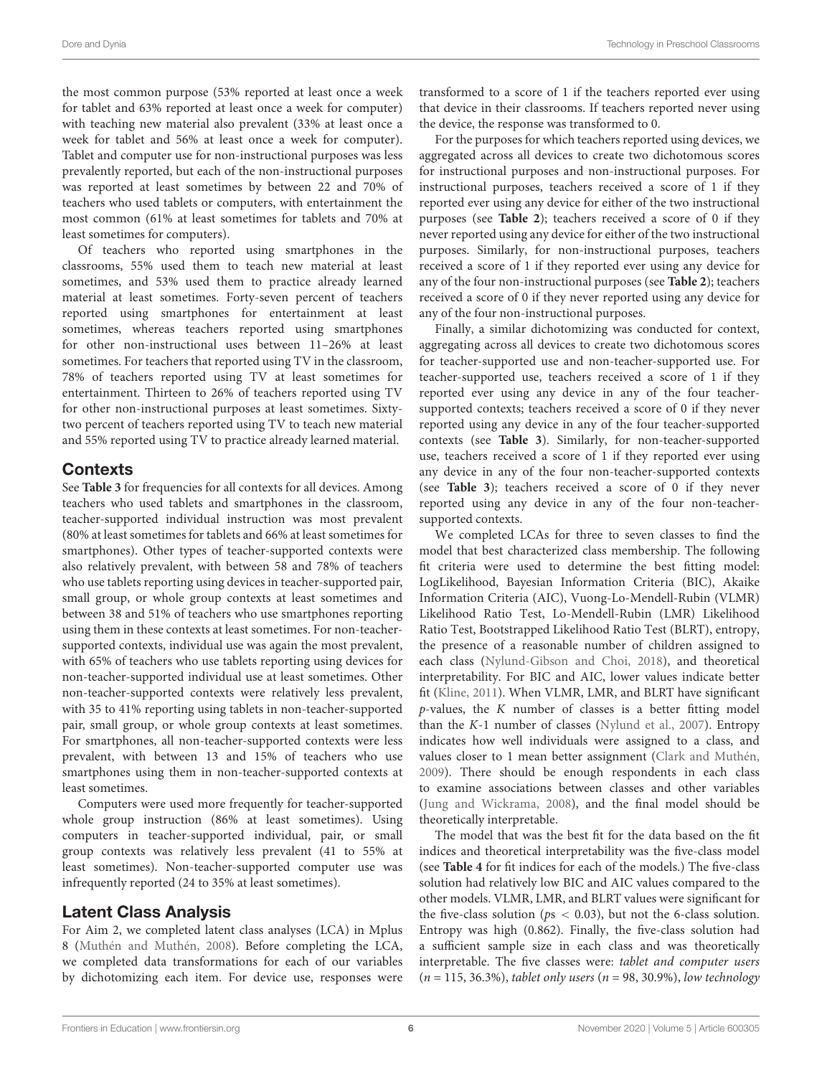the most common purpose (53% reported at least once a week for tablet and 63% reported at least once a week for computer) with teaching new material also prevalent (33% at least once a week for tablet and 56% at least once a week for computer). Tablet and computer use for non-instructional purposes was less prevalently reported, but each of the non-instructional purposes was reported at least sometimes by between 22 and 70% of teachers who used tablets or computers, with entertainment the most common (61% at least sometimes for tablets and 70% at least sometimes for computers).

Of teachers who reported using smartphones in the classrooms, 55% used them to teach new material at least sometimes, and 53% used them to practice already learned material at least sometimes. Forty-seven percent of teachers reported using smartphones for entertainment at least sometimes, whereas teachers reported using smartphones for other non-instructional uses between 11–26% at least sometimes. For teachers that reported using TV in the classroom, 78% of teachers reported using TV at least sometimes for entertainment. Thirteen to 26% of teachers reported using TV for other non-instructional purposes at least sometimes. Sixtytwo percent of teachers reported using TV to teach new material and 55% reported using TV to practice already learned material.

## **Contexts**

See **[Table 3](#page-6-0)** for frequencies for all contexts for all devices. Among teachers who used tablets and smartphones in the classroom, teacher-supported individual instruction was most prevalent (80% at least sometimes for tablets and 66% at least sometimes for smartphones). Other types of teacher-supported contexts were also relatively prevalent, with between 58 and 78% of teachers who use tablets reporting using devices in teacher-supported pair, small group, or whole group contexts at least sometimes and between 38 and 51% of teachers who use smartphones reporting using them in these contexts at least sometimes. For non-teachersupported contexts, individual use was again the most prevalent, with 65% of teachers who use tablets reporting using devices for non-teacher-supported individual use at least sometimes. Other non-teacher-supported contexts were relatively less prevalent, with 35 to 41% reporting using tablets in non-teacher-supported pair, small group, or whole group contexts at least sometimes. For smartphones, all non-teacher-supported contexts were less prevalent, with between 13 and 15% of teachers who use smartphones using them in non-teacher-supported contexts at least sometimes.

Computers were used more frequently for teacher-supported whole group instruction (86% at least sometimes). Using computers in teacher-supported individual, pair, or small group contexts was relatively less prevalent (41 to 55% at least sometimes). Non-teacher-supported computer use was infrequently reported (24 to 35% at least sometimes).

## Latent Class Analysis

For Aim 2, we completed latent class analyses (LCA) in Mplus 8 [\(Muthén and Muthén,](#page-12-30) [2008\)](#page-12-30). Before completing the LCA, we completed data transformations for each of our variables by dichotomizing each item. For device use, responses were transformed to a score of 1 if the teachers reported ever using that device in their classrooms. If teachers reported never using the device, the response was transformed to 0.

For the purposes for which teachers reported using devices, we aggregated across all devices to create two dichotomous scores for instructional purposes and non-instructional purposes. For instructional purposes, teachers received a score of 1 if they reported ever using any device for either of the two instructional purposes (see **[Table 2](#page-4-0)**); teachers received a score of 0 if they never reported using any device for either of the two instructional purposes. Similarly, for non-instructional purposes, teachers received a score of 1 if they reported ever using any device for any of the four non-instructional purposes (see **[Table 2](#page-4-0)**); teachers received a score of 0 if they never reported using any device for any of the four non-instructional purposes.

Finally, a similar dichotomizing was conducted for context, aggregating across all devices to create two dichotomous scores for teacher-supported use and non-teacher-supported use. For teacher-supported use, teachers received a score of 1 if they reported ever using any device in any of the four teachersupported contexts; teachers received a score of 0 if they never reported using any device in any of the four teacher-supported contexts (see **[Table 3](#page-6-0)**). Similarly, for non-teacher-supported use, teachers received a score of 1 if they reported ever using any device in any of the four non-teacher-supported contexts (see **[Table 3](#page-6-0)**); teachers received a score of 0 if they never reported using any device in any of the four non-teachersupported contexts.

We completed LCAs for three to seven classes to find the model that best characterized class membership. The following fit criteria were used to determine the best fitting model: LogLikelihood, Bayesian Information Criteria (BIC), Akaike Information Criteria (AIC), Vuong-Lo-Mendell-Rubin (VLMR) Likelihood Ratio Test, Lo-Mendell-Rubin (LMR) Likelihood Ratio Test, Bootstrapped Likelihood Ratio Test (BLRT), entropy, the presence of a reasonable number of children assigned to each class [\(Nylund-Gibson and Choi,](#page-12-31) [2018\)](#page-12-31), and theoretical interpretability. For BIC and AIC, lower values indicate better fit [\(Kline,](#page-12-32) [2011\)](#page-12-32). When VLMR, LMR, and BLRT have significant  $p$ -values, the  $K$  number of classes is a better fitting model than the  $K-1$  number of classes [\(Nylund et al.,](#page-12-33) [2007\)](#page-12-33). Entropy indicates how well individuals were assigned to a class, and values closer to 1 mean better assignment [\(Clark and Muthén,](#page-12-34) [2009\)](#page-12-34). There should be enough respondents in each class to examine associations between classes and other variables [\(Jung and Wickrama,](#page-12-35) [2008\)](#page-12-35), and the final model should be theoretically interpretable.

The model that was the best fit for the data based on the fit indices and theoretical interpretability was the five-class model (see **[Table 4](#page-6-1)** for fit indices for each of the models.) The five-class solution had relatively low BIC and AIC values compared to the other models. VLMR, LMR, and BLRT values were significant for the five-class solution ( $ps < 0.03$ ), but not the 6-class solution. Entropy was high (0.862). Finally, the five-class solution had a sufficient sample size in each class and was theoretically interpretable. The five classes were: tablet and computer users  $(n = 115, 36.3\%)$ , tablet only users  $(n = 98, 30.9\%)$ , low technology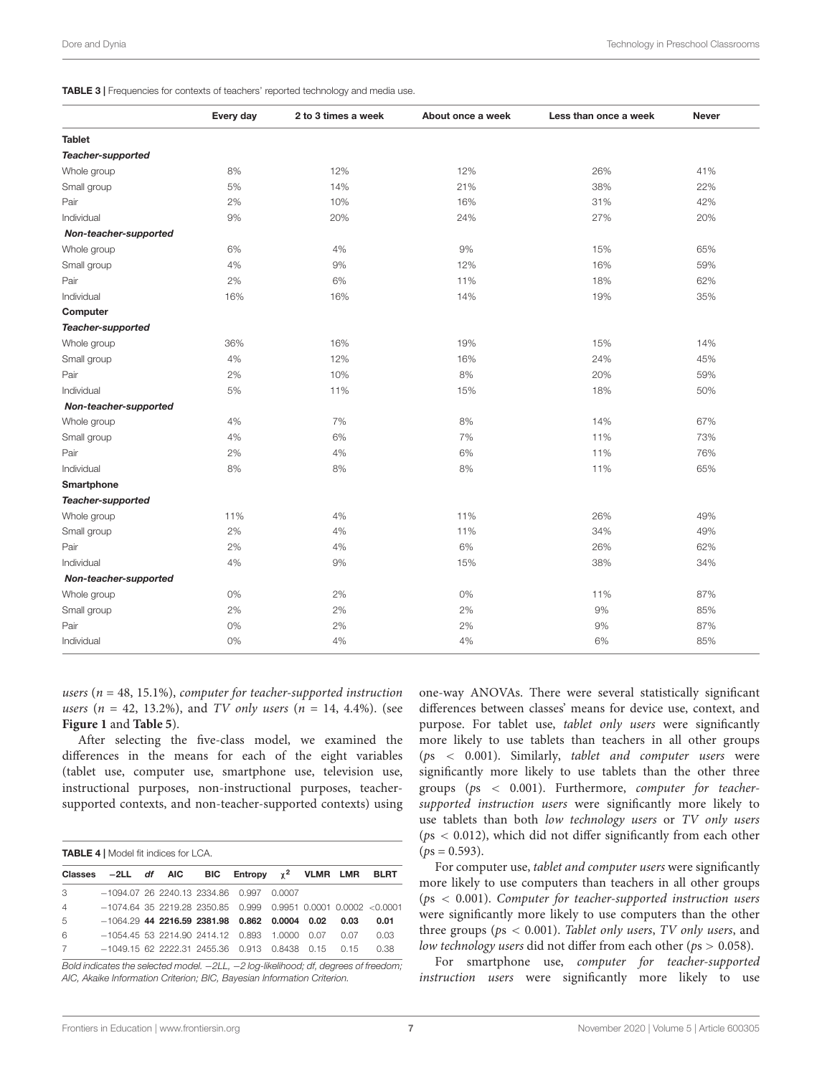<span id="page-6-0"></span>TABLE 3 | Frequencies for contexts of teachers' reported technology and media use.

|                       |     |     | About once a week | Less than once a week | <b>Never</b> |
|-----------------------|-----|-----|-------------------|-----------------------|--------------|
| <b>Tablet</b>         |     |     |                   |                       |              |
| Teacher-supported     |     |     |                   |                       |              |
| Whole group           | 8%  | 12% | 12%               | 26%                   | 41%          |
| Small group           | 5%  | 14% | 21%               | 38%                   | 22%          |
| Pair                  | 2%  | 10% | 16%               | 31%                   | 42%          |
| Individual            | 9%  | 20% | 24%               | 27%                   | 20%          |
| Non-teacher-supported |     |     |                   |                       |              |
| Whole group           | 6%  | 4%  | 9%                | 15%                   | 65%          |
| Small group           | 4%  | 9%  | 12%               | 16%                   | 59%          |
| Pair                  | 2%  | 6%  | 11%               | 18%                   | 62%          |
| Individual            | 16% | 16% | 14%               | 19%                   | 35%          |
| Computer              |     |     |                   |                       |              |
| Teacher-supported     |     |     |                   |                       |              |
| Whole group           | 36% | 16% | 19%               | 15%                   | 14%          |
| Small group           | 4%  | 12% | 16%               | 24%                   | 45%          |
| Pair                  | 2%  | 10% | 8%                | 20%                   | 59%          |
| Individual            | 5%  | 11% | 15%               | 18%                   | 50%          |
| Non-teacher-supported |     |     |                   |                       |              |
| Whole group           | 4%  | 7%  | 8%                | 14%                   | 67%          |
| Small group           | 4%  | 6%  | 7%                | 11%                   | 73%          |
| Pair                  | 2%  | 4%  | 6%                | 11%                   | 76%          |
| Individual            | 8%  | 8%  | 8%                | 11%                   | 65%          |
| Smartphone            |     |     |                   |                       |              |
| Teacher-supported     |     |     |                   |                       |              |
| Whole group           | 11% | 4%  | 11%               | 26%                   | 49%          |
| Small group           | 2%  | 4%  | 11%               | 34%                   | 49%          |
| Pair                  | 2%  | 4%  | 6%                | 26%                   | 62%          |
| Individual            | 4%  | 9%  | 15%               | 38%                   | 34%          |
| Non-teacher-supported |     |     |                   |                       |              |
| Whole group           | 0%  | 2%  | 0%                | 11%                   | 87%          |
| Small group           | 2%  | 2%  | 2%                | 9%                    | 85%          |
| Pair                  | 0%  | 2%  | 2%                | 9%                    | 87%          |
| Individual            | 0%  | 4%  | 4%                | 6%                    | 85%          |

users ( $n = 48, 15.1\%$ ), computer for teacher-supported instruction users ( $n = 42, 13.2\%$ ), and TV only users ( $n = 14, 4.4\%$ ). (see **[Figure 1](#page-7-0)** and **[Table 5](#page-7-1)**).

After selecting the five-class model, we examined the differences in the means for each of the eight variables (tablet use, computer use, smartphone use, television use, instructional purposes, non-instructional purposes, teachersupported contexts, and non-teacher-supported contexts) using

<span id="page-6-1"></span>

| <b>TABLE 4</b>   Model fit indices for LCA. |                                                                   |  |  |  |                               |  |  |      |             |  |
|---------------------------------------------|-------------------------------------------------------------------|--|--|--|-------------------------------|--|--|------|-------------|--|
|                                             | Classes -2LL df AIC                                               |  |  |  | BIC Entropy $\chi^2$ VLMR LMR |  |  |      | <b>BLRT</b> |  |
| 3                                           | $-1094.07$ 26 2240.13 2334.86 0.997 0.0007                        |  |  |  |                               |  |  |      |             |  |
| $\overline{4}$                              | $-1074.64$ 35 2219.28 2350.85 0.999 0.9951 0.0001 0.0002 < 0.0001 |  |  |  |                               |  |  |      |             |  |
| -5                                          | $-1064.29$ 44 2216.59 2381.98 0.862 0.0004 0.02                   |  |  |  |                               |  |  | 0.03 | 0.01        |  |
| 6                                           | $-1054.45$ 53 2214.90 2414.12 0.893 1.0000 0.07                   |  |  |  |                               |  |  | 0.07 | 0.03        |  |
| 7                                           | $-1049.15$ 62 2222.31 2455.36 0.913 0.8438 0.15 0.15              |  |  |  |                               |  |  |      | 0.38        |  |

Bold indicates the selected model. −2LL, −2 log-likelihood; df, degrees of freedom; AIC, Akaike Information Criterion; BIC, Bayesian Information Criterion.

one-way ANOVAs. There were several statistically significant differences between classes' means for device use, context, and purpose. For tablet use, tablet only users were significantly more likely to use tablets than teachers in all other groups  $(ps \le 0.001)$ . Similarly, tablet and computer users were significantly more likely to use tablets than the other three groups (ps < 0.001). Furthermore, computer for teachersupported instruction users were significantly more likely to use tablets than both low technology users or TV only users ( $ps < 0.012$ ), which did not differ significantly from each other  $(ps = 0.593)$ .

For computer use, tablet and computer users were significantly more likely to use computers than teachers in all other groups ( $ps < 0.001$ ). Computer for teacher-supported instruction users were significantly more likely to use computers than the other three groups ( $ps < 0.001$ ). Tablet only users, TV only users, and low technology users did not differ from each other ( $ps > 0.058$ ).

For smartphone use, computer for teacher-supported instruction users were significantly more likely to use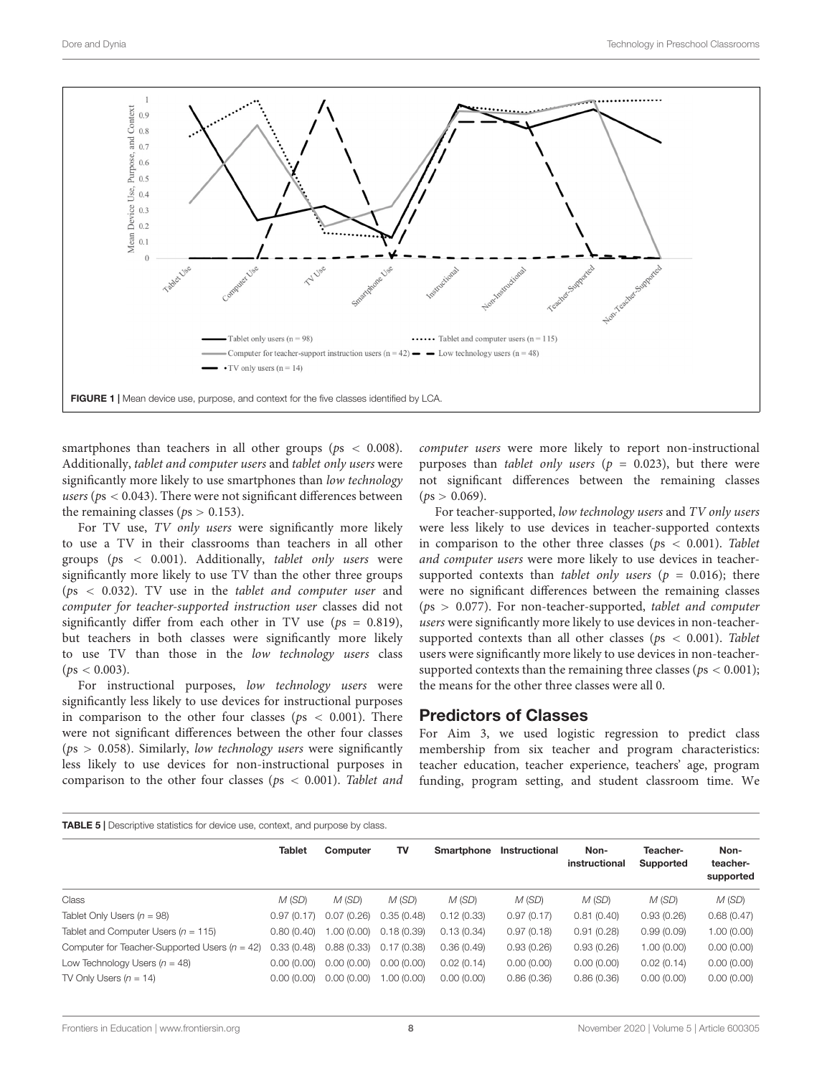

<span id="page-7-0"></span>smartphones than teachers in all other groups ( $ps < 0.008$ ). Additionally, tablet and computer users and tablet only users were significantly more likely to use smartphones than *low technology* users ( $ps < 0.043$ ). There were not significant differences between the remaining classes ( $ps > 0.153$ ).

For TV use, TV only users were significantly more likely to use a TV in their classrooms than teachers in all other groups ( $ps < 0.001$ ). Additionally, tablet only users were significantly more likely to use TV than the other three groups ( $ps < 0.032$ ). TV use in the tablet and computer user and computer for teacher-supported instruction user classes did not significantly differ from each other in TV use ( $ps = 0.819$ ), but teachers in both classes were significantly more likely to use TV than those in the low technology users class  $(ps < 0.003)$ .

For instructional purposes, low technology users were significantly less likely to use devices for instructional purposes in comparison to the other four classes ( $ps < 0.001$ ). There were not significant differences between the other four classes ( $ps > 0.058$ ). Similarly, low technology users were significantly less likely to use devices for non-instructional purposes in comparison to the other four classes ( $ps < 0.001$ ). Tablet and computer users were more likely to report non-instructional purposes than *tablet only users* ( $p = 0.023$ ), but there were not significant differences between the remaining classes  $(ps > 0.069)$ .

For teacher-supported, low technology users and TV only users were less likely to use devices in teacher-supported contexts in comparison to the other three classes ( $ps < 0.001$ ). Tablet and computer users were more likely to use devices in teachersupported contexts than *tablet only users* ( $p = 0.016$ ); there were no significant differences between the remaining classes ( $ps > 0.077$ ). For non-teacher-supported, tablet and computer users were significantly more likely to use devices in non-teachersupported contexts than all other classes ( $ps < 0.001$ ). Tablet users were significantly more likely to use devices in non-teachersupported contexts than the remaining three classes ( $ps < 0.001$ ); the means for the other three classes were all 0.

## Predictors of Classes

For Aim 3, we used logistic regression to predict class membership from six teacher and program characteristics: teacher education, teacher experience, teachers' age, program funding, program setting, and student classroom time. We

<span id="page-7-1"></span>

| <b>TABLE 5</b> Descriptive statistics for device use, context, and purpose by class. |               |             |            |            |               |                       |                       |                               |  |  |
|--------------------------------------------------------------------------------------|---------------|-------------|------------|------------|---------------|-----------------------|-----------------------|-------------------------------|--|--|
|                                                                                      | <b>Tablet</b> | Computer    | TV         | Smartphone | Instructional | Non-<br>instructional | Teacher-<br>Supported | Non-<br>teacher-<br>supported |  |  |
| Class                                                                                | M(SD)         | M(SD)       | M(SD)      | M(SD)      | M(SD)         | M(SD)                 | M(SD)                 | M(SD)                         |  |  |
| Tablet Only Users ( $n = 98$ )                                                       | 0.97(0.17)    | 0.07(0.26)  | 0.35(0.48) | 0.12(0.33) | 0.97(0.17)    | 0.81(0.40)            | 0.93(0.26)            | 0.68(0.47)                    |  |  |
| Tablet and Computer Users ( $n = 115$ )                                              | 0.80(0.40)    | 1.00 (0.00) | 0.18(0.39) | 0.13(0.34) | 0.97(0.18)    | 0.91(0.28)            | 0.99(0.09)            | 1.00(0.00)                    |  |  |
| Computer for Teacher-Supported Users ( $n = 42$ )                                    | 0.33(0.48)    | 0.88(0.33)  | 0.17(0.38) | 0.36(0.49) | 0.93(0.26)    | 0.93(0.26)            | 1.00(0.00)            | 0.00(0.00)                    |  |  |
| Low Technology Users $(n = 48)$                                                      | 0.00(0.00)    | 0.00(0.00)  | 0.00(0.00) | 0.02(0.14) | 0.00(0.00)    | 0.00(0.00)            | 0.02(0.14)            | 0.00(0.00)                    |  |  |
| TV Only Users $(n = 14)$                                                             | 0.00(0.00)    | 0.00(0.00)  | 0.00(0.00) | 0.00(0.00) | 0.86(0.36)    | 0.86(0.36)            | 0.00(0.00)            | 0.00(0.00)                    |  |  |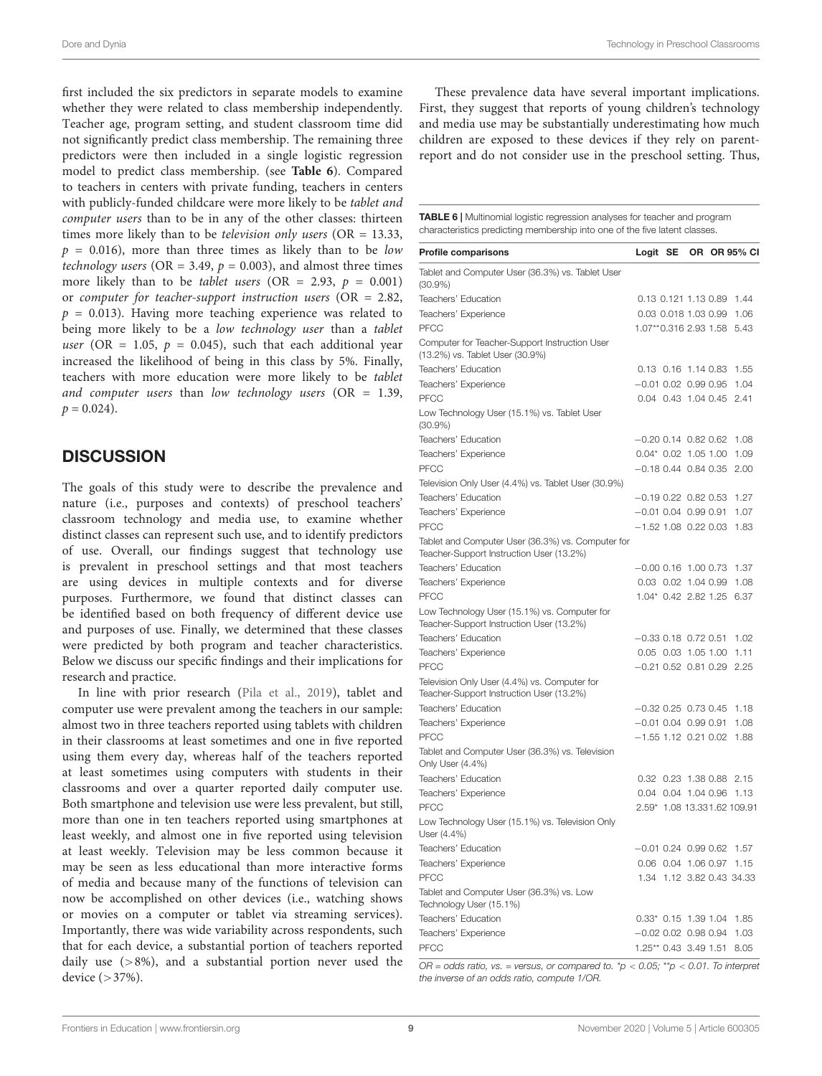Dore and Dynia Technology in Preschool Classrooms

first included the six predictors in separate models to examine whether they were related to class membership independently. Teacher age, program setting, and student classroom time did not significantly predict class membership. The remaining three predictors were then included in a single logistic regression model to predict class membership. (see **[Table 6](#page-8-0)**). Compared to teachers in centers with private funding, teachers in centers with publicly-funded childcare were more likely to be tablet and computer users than to be in any of the other classes: thirteen times more likely than to be *television only users* ( $OR = 13.33$ ,  $p = 0.016$ , more than three times as likely than to be low technology users (OR = 3.49,  $p = 0.003$ ), and almost three times more likely than to be *tablet users* (OR = 2.93,  $p = 0.001$ ) or computer for teacher-support instruction users ( $OR = 2.82$ ,  $p = 0.013$ ). Having more teaching experience was related to being more likely to be a low technology user than a tablet user (OR = 1.05,  $p = 0.045$ ), such that each additional year increased the likelihood of being in this class by 5%. Finally, teachers with more education were more likely to be tablet and computer users than low technology users  $(OR = 1.39,$  $p = 0.024$ .

## **DISCUSSION**

The goals of this study were to describe the prevalence and nature (i.e., purposes and contexts) of preschool teachers' classroom technology and media use, to examine whether distinct classes can represent such use, and to identify predictors of use. Overall, our findings suggest that technology use is prevalent in preschool settings and that most teachers are using devices in multiple contexts and for diverse purposes. Furthermore, we found that distinct classes can be identified based on both frequency of different device use and purposes of use. Finally, we determined that these classes were predicted by both program and teacher characteristics. Below we discuss our specific findings and their implications for research and practice.

In line with prior research [\(Pila et al.,](#page-13-4) [2019\)](#page-13-4), tablet and computer use were prevalent among the teachers in our sample: almost two in three teachers reported using tablets with children in their classrooms at least sometimes and one in five reported using them every day, whereas half of the teachers reported at least sometimes using computers with students in their classrooms and over a quarter reported daily computer use. Both smartphone and television use were less prevalent, but still, more than one in ten teachers reported using smartphones at least weekly, and almost one in five reported using television at least weekly. Television may be less common because it may be seen as less educational than more interactive forms of media and because many of the functions of television can now be accomplished on other devices (i.e., watching shows or movies on a computer or tablet via streaming services). Importantly, there was wide variability across respondents, such that for each device, a substantial portion of teachers reported daily use  $(>8\%)$ , and a substantial portion never used the device (>37%).

These prevalence data have several important implications. First, they suggest that reports of young children's technology and media use may be substantially underestimating how much children are exposed to these devices if they rely on parentreport and do not consider use in the preschool setting. Thus,

<span id="page-8-0"></span>TABLE 6 | Multinomial logistic regression analyses for teacher and program characteristics predicting membership into one of the five latent classes.

| <b>Profile comparisons</b>                                                                    | Logit SE                    |                          |  | <b>OR OR 95% CI</b>         |
|-----------------------------------------------------------------------------------------------|-----------------------------|--------------------------|--|-----------------------------|
| Tablet and Computer User (36.3%) vs. Tablet User                                              |                             |                          |  |                             |
| $(30.9\%)$                                                                                    |                             |                          |  |                             |
| Teachers' Education                                                                           |                             | 0.13 0.121 1.13 0.89     |  | 1.44                        |
| Teachers' Experience                                                                          |                             | 0.03 0.018 1.03 0.99     |  | 1.06                        |
| <b>PFCC</b>                                                                                   | 1.07**0.316 2.93 1.58       |                          |  | 5.43                        |
| Computer for Teacher-Support Instruction User<br>(13.2%) vs. Tablet User (30.9%)              |                             |                          |  |                             |
| Teachers' Education                                                                           |                             | 0.13 0.16 1.14 0.83      |  | 1.55                        |
| Teachers' Experience                                                                          | $-0.01$ 0.02 0.99 0.95      |                          |  | 1.04                        |
| <b>PFCC</b>                                                                                   |                             | 0.04 0.43 1.04 0.45 2.41 |  |                             |
| Low Technology User (15.1%) vs. Tablet User<br>$(30.9\%)$                                     |                             |                          |  |                             |
| Teachers' Education                                                                           | $-0.20$ 0.14 0.82 0.62      |                          |  | 1.08                        |
| Teachers' Experience                                                                          | $0.04*$ 0.02 1.05 1.00      |                          |  | 1.09                        |
| <b>PFCC</b>                                                                                   | $-0.18$ 0.44 0.84 0.35      |                          |  | 2.00                        |
| Television Only User (4.4%) vs. Tablet User (30.9%)                                           |                             |                          |  |                             |
| Teachers' Education                                                                           | $-0.19$ 0.22 0.82 0.53      |                          |  | 1.27                        |
| Teachers' Experience                                                                          | $-0.01$ 0.04 0.99 0.91      |                          |  | 1.07                        |
| <b>PFCC</b>                                                                                   | $-1.52$ 1.08 0.22 0.03      |                          |  | 1.83                        |
| Tablet and Computer User (36.3%) vs. Computer for<br>Teacher-Support Instruction User (13.2%) |                             |                          |  |                             |
| Teachers' Education                                                                           | $-0.00$ 0.16 1.00 0.73      |                          |  | 1.37                        |
| Teachers' Experience                                                                          |                             | 0.03 0.02 1.04 0.99      |  | 1.08                        |
| <b>PFCC</b>                                                                                   |                             | 1.04* 0.42 2.82 1.25     |  | 6.37                        |
| Low Technology User (15.1%) vs. Computer for<br>Teacher-Support Instruction User (13.2%)      |                             |                          |  |                             |
| Teachers' Education                                                                           | $-0.33$ 0.18 0.72 0.51      |                          |  | 1.02                        |
| Teachers' Experience                                                                          |                             | 0.05 0.03 1.05 1.00      |  | 1.11                        |
| PFCC                                                                                          | $-0.21$ 0.52 0.81 0.29      |                          |  | 2.25                        |
| Television Only User (4.4%) vs. Computer for<br>Teacher-Support Instruction User (13.2%)      |                             |                          |  |                             |
| Teachers' Education                                                                           | $-0.32$ 0.25 0.73 0.45      |                          |  | 1.18                        |
| Teachers' Experience                                                                          | $-0.01$ 0.04 0.99 0.91      |                          |  | 1.08                        |
| PFCC                                                                                          |                             | $-1.55$ 1.12 0.21 0.02   |  | 1.88                        |
| Tablet and Computer User (36.3%) vs. Television<br>Only User (4.4%)                           |                             |                          |  |                             |
| Teachers' Education                                                                           |                             | 0.32 0.23 1.38 0.88 2.15 |  |                             |
| Teachers' Experience                                                                          |                             | 0.04 0.04 1.04 0.96 1.13 |  |                             |
| PFCC                                                                                          |                             |                          |  | 2.59* 1.08 13.331.62 109.91 |
| Low Technology User (15.1%) vs. Television Only<br>User (4.4%)                                |                             |                          |  |                             |
| Teachers' Education                                                                           | $-0.01$ 0.24 0.99 0.62 1.57 |                          |  |                             |
| Teachers' Experience                                                                          |                             | 0.06 0.04 1.06 0.97 1.15 |  |                             |
| PFCC                                                                                          |                             |                          |  | 1.34 1.12 3.82 0.43 34.33   |
| Tablet and Computer User (36.3%) vs. Low<br>Technology User (15.1%)                           |                             |                          |  |                             |
| Teachers' Education                                                                           | $0.33*$ 0.15 1.39 1.04      |                          |  | 1.85                        |
| Teachers' Experience                                                                          | $-0.02$ 0.02 0.98 0.94      |                          |  | 1.03                        |
| <b>PFCC</b>                                                                                   | 1.25** 0.43 3.49 1.51       |                          |  | 8.05                        |

OR = odds ratio, vs. = versus, or compared to. \*p < 0.05; \*\*p < 0.01. To interpret the inverse of an odds ratio, compute 1/OR.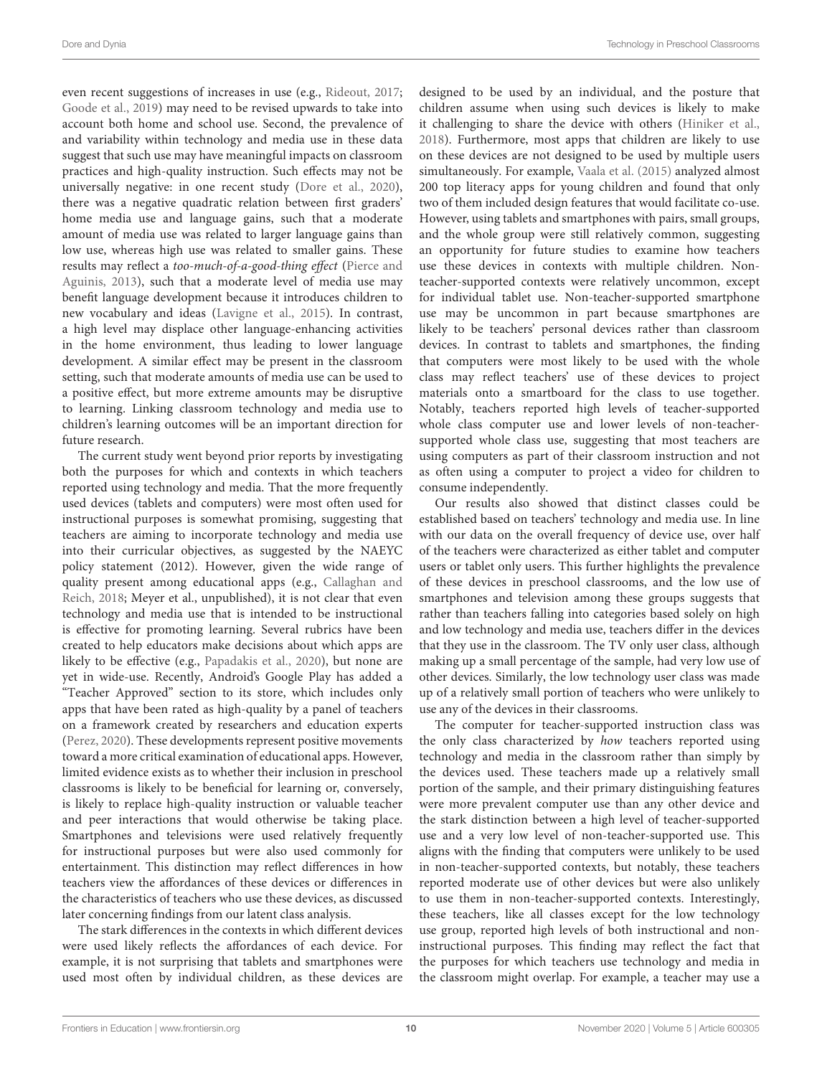even recent suggestions of increases in use (e.g., [Rideout,](#page-13-0) [2017;](#page-13-0) [Goode et al.,](#page-12-5) [2019\)](#page-12-5) may need to be revised upwards to take into account both home and school use. Second, the prevalence of and variability within technology and media use in these data suggest that such use may have meaningful impacts on classroom practices and high-quality instruction. Such effects may not be universally negative: in one recent study [\(Dore et al.,](#page-12-36) [2020\)](#page-12-36), there was a negative quadratic relation between first graders' home media use and language gains, such that a moderate amount of media use was related to larger language gains than low use, whereas high use was related to smaller gains. These results may reflect a too-much-of-a-good-thing effect [\(Pierce and](#page-13-13) [Aguinis,](#page-13-13) [2013\)](#page-13-13), such that a moderate level of media use may benefit language development because it introduces children to new vocabulary and ideas [\(Lavigne et al.,](#page-12-26) [2015\)](#page-12-26). In contrast, a high level may displace other language-enhancing activities in the home environment, thus leading to lower language development. A similar effect may be present in the classroom setting, such that moderate amounts of media use can be used to a positive effect, but more extreme amounts may be disruptive to learning. Linking classroom technology and media use to children's learning outcomes will be an important direction for future research.

The current study went beyond prior reports by investigating both the purposes for which and contexts in which teachers reported using technology and media. That the more frequently used devices (tablets and computers) were most often used for instructional purposes is somewhat promising, suggesting that teachers are aiming to incorporate technology and media use into their curricular objectives, as suggested by the NAEYC policy statement (2012). However, given the wide range of quality present among educational apps (e.g., [Callaghan and](#page-12-13) [Reich,](#page-12-13) [2018;](#page-12-13) Meyer et al., unpublished), it is not clear that even technology and media use that is intended to be instructional is effective for promoting learning. Several rubrics have been created to help educators make decisions about which apps are likely to be effective (e.g., [Papadakis et al.,](#page-12-37) [2020\)](#page-12-37), but none are yet in wide-use. Recently, Android's Google Play has added a "Teacher Approved" section to its store, which includes only apps that have been rated as high-quality by a panel of teachers on a framework created by researchers and education experts [\(Perez,](#page-13-14) [2020\)](#page-13-14). These developments represent positive movements toward a more critical examination of educational apps. However, limited evidence exists as to whether their inclusion in preschool classrooms is likely to be beneficial for learning or, conversely, is likely to replace high-quality instruction or valuable teacher and peer interactions that would otherwise be taking place. Smartphones and televisions were used relatively frequently for instructional purposes but were also used commonly for entertainment. This distinction may reflect differences in how teachers view the affordances of these devices or differences in the characteristics of teachers who use these devices, as discussed later concerning findings from our latent class analysis.

The stark differences in the contexts in which different devices were used likely reflects the affordances of each device. For example, it is not surprising that tablets and smartphones were used most often by individual children, as these devices are

designed to be used by an individual, and the posture that children assume when using such devices is likely to make it challenging to share the device with others [\(Hiniker et al.,](#page-12-38) [2018\)](#page-12-38). Furthermore, most apps that children are likely to use on these devices are not designed to be used by multiple users simultaneously. For example, [Vaala et al.](#page-13-15) [\(2015\)](#page-13-15) analyzed almost 200 top literacy apps for young children and found that only two of them included design features that would facilitate co-use. However, using tablets and smartphones with pairs, small groups, and the whole group were still relatively common, suggesting an opportunity for future studies to examine how teachers use these devices in contexts with multiple children. Nonteacher-supported contexts were relatively uncommon, except for individual tablet use. Non-teacher-supported smartphone use may be uncommon in part because smartphones are likely to be teachers' personal devices rather than classroom devices. In contrast to tablets and smartphones, the finding that computers were most likely to be used with the whole class may reflect teachers' use of these devices to project materials onto a smartboard for the class to use together. Notably, teachers reported high levels of teacher-supported whole class computer use and lower levels of non-teachersupported whole class use, suggesting that most teachers are using computers as part of their classroom instruction and not as often using a computer to project a video for children to consume independently.

Our results also showed that distinct classes could be established based on teachers' technology and media use. In line with our data on the overall frequency of device use, over half of the teachers were characterized as either tablet and computer users or tablet only users. This further highlights the prevalence of these devices in preschool classrooms, and the low use of smartphones and television among these groups suggests that rather than teachers falling into categories based solely on high and low technology and media use, teachers differ in the devices that they use in the classroom. The TV only user class, although making up a small percentage of the sample, had very low use of other devices. Similarly, the low technology user class was made up of a relatively small portion of teachers who were unlikely to use any of the devices in their classrooms.

The computer for teacher-supported instruction class was the only class characterized by how teachers reported using technology and media in the classroom rather than simply by the devices used. These teachers made up a relatively small portion of the sample, and their primary distinguishing features were more prevalent computer use than any other device and the stark distinction between a high level of teacher-supported use and a very low level of non-teacher-supported use. This aligns with the finding that computers were unlikely to be used in non-teacher-supported contexts, but notably, these teachers reported moderate use of other devices but were also unlikely to use them in non-teacher-supported contexts. Interestingly, these teachers, like all classes except for the low technology use group, reported high levels of both instructional and noninstructional purposes. This finding may reflect the fact that the purposes for which teachers use technology and media in the classroom might overlap. For example, a teacher may use a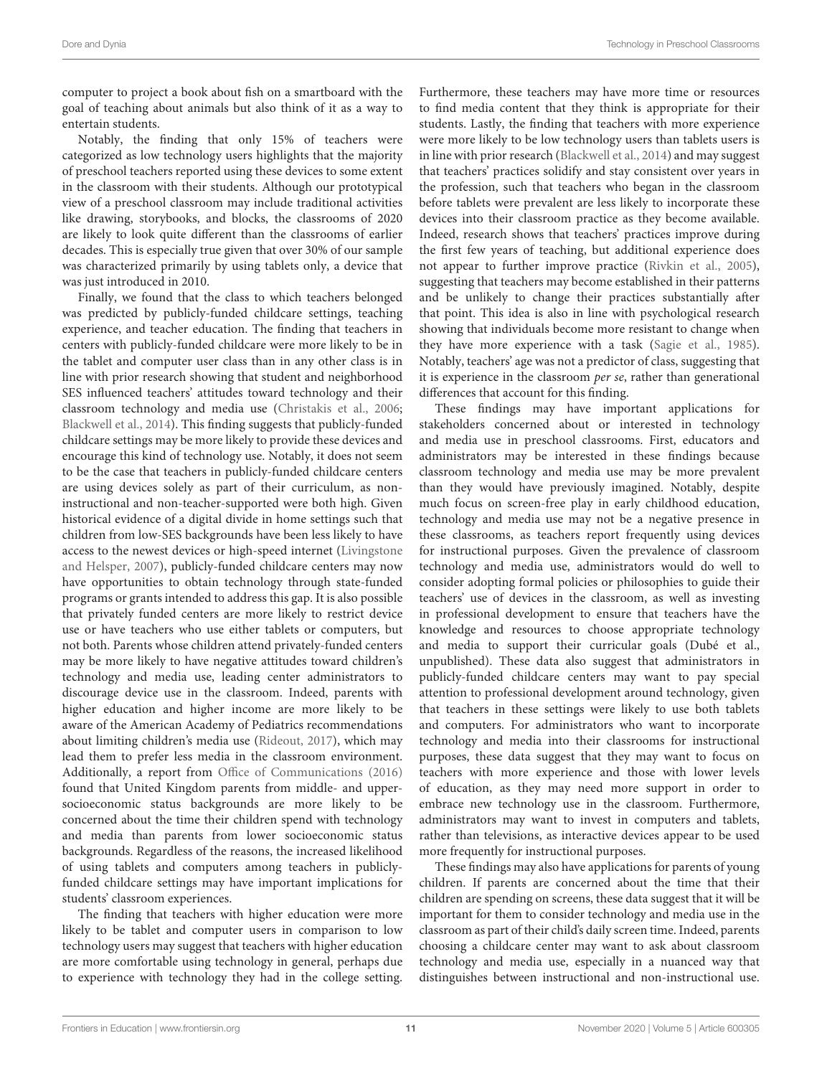computer to project a book about fish on a smartboard with the goal of teaching about animals but also think of it as a way to entertain students.

Notably, the finding that only 15% of teachers were categorized as low technology users highlights that the majority of preschool teachers reported using these devices to some extent in the classroom with their students. Although our prototypical view of a preschool classroom may include traditional activities like drawing, storybooks, and blocks, the classrooms of 2020 are likely to look quite different than the classrooms of earlier decades. This is especially true given that over 30% of our sample was characterized primarily by using tablets only, a device that was just introduced in 2010.

Finally, we found that the class to which teachers belonged was predicted by publicly-funded childcare settings, teaching experience, and teacher education. The finding that teachers in centers with publicly-funded childcare were more likely to be in the tablet and computer user class than in any other class is in line with prior research showing that student and neighborhood SES influenced teachers' attitudes toward technology and their classroom technology and media use [\(Christakis et al.,](#page-12-29) [2006;](#page-12-29) [Blackwell et al.,](#page-12-28) [2014\)](#page-12-28). This finding suggests that publicly-funded childcare settings may be more likely to provide these devices and encourage this kind of technology use. Notably, it does not seem to be the case that teachers in publicly-funded childcare centers are using devices solely as part of their curriculum, as noninstructional and non-teacher-supported were both high. Given historical evidence of a digital divide in home settings such that children from low-SES backgrounds have been less likely to have access to the newest devices or high-speed internet [\(Livingstone](#page-12-39) [and Helsper,](#page-12-39) [2007\)](#page-12-39), publicly-funded childcare centers may now have opportunities to obtain technology through state-funded programs or grants intended to address this gap. It is also possible that privately funded centers are more likely to restrict device use or have teachers who use either tablets or computers, but not both. Parents whose children attend privately-funded centers may be more likely to have negative attitudes toward children's technology and media use, leading center administrators to discourage device use in the classroom. Indeed, parents with higher education and higher income are more likely to be aware of the American Academy of Pediatrics recommendations about limiting children's media use [\(Rideout,](#page-13-0) [2017\)](#page-13-0), which may lead them to prefer less media in the classroom environment. Additionally, a report from [Office of Communications](#page-12-40) [\(2016\)](#page-12-40) found that United Kingdom parents from middle- and uppersocioeconomic status backgrounds are more likely to be concerned about the time their children spend with technology and media than parents from lower socioeconomic status backgrounds. Regardless of the reasons, the increased likelihood of using tablets and computers among teachers in publiclyfunded childcare settings may have important implications for students' classroom experiences.

The finding that teachers with higher education were more likely to be tablet and computer users in comparison to low technology users may suggest that teachers with higher education are more comfortable using technology in general, perhaps due to experience with technology they had in the college setting.

Furthermore, these teachers may have more time or resources to find media content that they think is appropriate for their students. Lastly, the finding that teachers with more experience were more likely to be low technology users than tablets users is in line with prior research [\(Blackwell et al.,](#page-12-28) [2014\)](#page-12-28) and may suggest that teachers' practices solidify and stay consistent over years in the profession, such that teachers who began in the classroom before tablets were prevalent are less likely to incorporate these devices into their classroom practice as they become available. Indeed, research shows that teachers' practices improve during the first few years of teaching, but additional experience does not appear to further improve practice [\(Rivkin et al.,](#page-13-16) [2005\)](#page-13-16), suggesting that teachers may become established in their patterns and be unlikely to change their practices substantially after that point. This idea is also in line with psychological research showing that individuals become more resistant to change when they have more experience with a task [\(Sagie et al.,](#page-13-17) [1985\)](#page-13-17). Notably, teachers' age was not a predictor of class, suggesting that it is experience in the classroom per se, rather than generational differences that account for this finding.

These findings may have important applications for stakeholders concerned about or interested in technology and media use in preschool classrooms. First, educators and administrators may be interested in these findings because classroom technology and media use may be more prevalent than they would have previously imagined. Notably, despite much focus on screen-free play in early childhood education, technology and media use may not be a negative presence in these classrooms, as teachers report frequently using devices for instructional purposes. Given the prevalence of classroom technology and media use, administrators would do well to consider adopting formal policies or philosophies to guide their teachers' use of devices in the classroom, as well as investing in professional development to ensure that teachers have the knowledge and resources to choose appropriate technology and media to support their curricular goals (Dubé et al., unpublished). These data also suggest that administrators in publicly-funded childcare centers may want to pay special attention to professional development around technology, given that teachers in these settings were likely to use both tablets and computers. For administrators who want to incorporate technology and media into their classrooms for instructional purposes, these data suggest that they may want to focus on teachers with more experience and those with lower levels of education, as they may need more support in order to embrace new technology use in the classroom. Furthermore, administrators may want to invest in computers and tablets, rather than televisions, as interactive devices appear to be used more frequently for instructional purposes.

These findings may also have applications for parents of young children. If parents are concerned about the time that their children are spending on screens, these data suggest that it will be important for them to consider technology and media use in the classroom as part of their child's daily screen time. Indeed, parents choosing a childcare center may want to ask about classroom technology and media use, especially in a nuanced way that distinguishes between instructional and non-instructional use.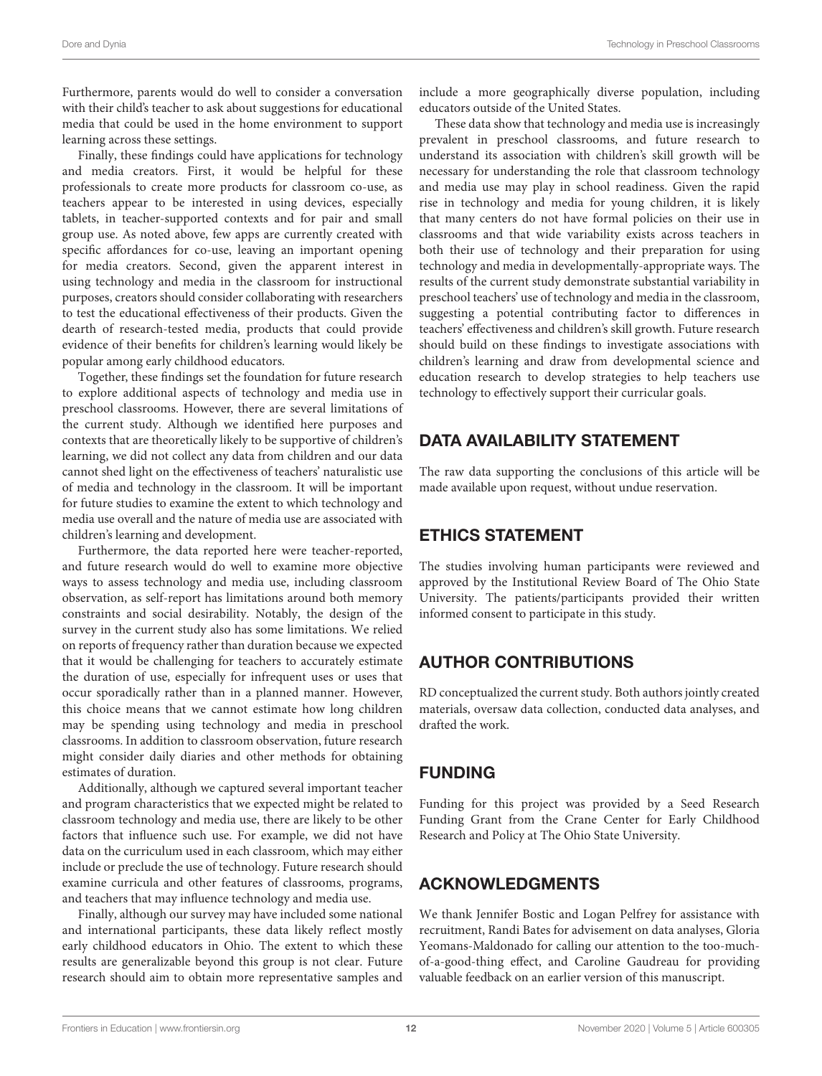Furthermore, parents would do well to consider a conversation with their child's teacher to ask about suggestions for educational media that could be used in the home environment to support learning across these settings.

Finally, these findings could have applications for technology and media creators. First, it would be helpful for these professionals to create more products for classroom co-use, as teachers appear to be interested in using devices, especially tablets, in teacher-supported contexts and for pair and small group use. As noted above, few apps are currently created with specific affordances for co-use, leaving an important opening for media creators. Second, given the apparent interest in using technology and media in the classroom for instructional purposes, creators should consider collaborating with researchers to test the educational effectiveness of their products. Given the dearth of research-tested media, products that could provide evidence of their benefits for children's learning would likely be popular among early childhood educators.

Together, these findings set the foundation for future research to explore additional aspects of technology and media use in preschool classrooms. However, there are several limitations of the current study. Although we identified here purposes and contexts that are theoretically likely to be supportive of children's learning, we did not collect any data from children and our data cannot shed light on the effectiveness of teachers' naturalistic use of media and technology in the classroom. It will be important for future studies to examine the extent to which technology and media use overall and the nature of media use are associated with children's learning and development.

Furthermore, the data reported here were teacher-reported, and future research would do well to examine more objective ways to assess technology and media use, including classroom observation, as self-report has limitations around both memory constraints and social desirability. Notably, the design of the survey in the current study also has some limitations. We relied on reports of frequency rather than duration because we expected that it would be challenging for teachers to accurately estimate the duration of use, especially for infrequent uses or uses that occur sporadically rather than in a planned manner. However, this choice means that we cannot estimate how long children may be spending using technology and media in preschool classrooms. In addition to classroom observation, future research might consider daily diaries and other methods for obtaining estimates of duration.

Additionally, although we captured several important teacher and program characteristics that we expected might be related to classroom technology and media use, there are likely to be other factors that influence such use. For example, we did not have data on the curriculum used in each classroom, which may either include or preclude the use of technology. Future research should examine curricula and other features of classrooms, programs, and teachers that may influence technology and media use.

Finally, although our survey may have included some national and international participants, these data likely reflect mostly early childhood educators in Ohio. The extent to which these results are generalizable beyond this group is not clear. Future research should aim to obtain more representative samples and

include a more geographically diverse population, including educators outside of the United States.

These data show that technology and media use is increasingly prevalent in preschool classrooms, and future research to understand its association with children's skill growth will be necessary for understanding the role that classroom technology and media use may play in school readiness. Given the rapid rise in technology and media for young children, it is likely that many centers do not have formal policies on their use in classrooms and that wide variability exists across teachers in both their use of technology and their preparation for using technology and media in developmentally-appropriate ways. The results of the current study demonstrate substantial variability in preschool teachers' use of technology and media in the classroom, suggesting a potential contributing factor to differences in teachers' effectiveness and children's skill growth. Future research should build on these findings to investigate associations with children's learning and draw from developmental science and education research to develop strategies to help teachers use technology to effectively support their curricular goals.

## DATA AVAILABILITY STATEMENT

The raw data supporting the conclusions of this article will be made available upon request, without undue reservation.

## ETHICS STATEMENT

The studies involving human participants were reviewed and approved by the Institutional Review Board of The Ohio State University. The patients/participants provided their written informed consent to participate in this study.

# AUTHOR CONTRIBUTIONS

RD conceptualized the current study. Both authors jointly created materials, oversaw data collection, conducted data analyses, and drafted the work.

## FUNDING

Funding for this project was provided by a Seed Research Funding Grant from the Crane Center for Early Childhood Research and Policy at The Ohio State University.

# ACKNOWLEDGMENTS

We thank Jennifer Bostic and Logan Pelfrey for assistance with recruitment, Randi Bates for advisement on data analyses, Gloria Yeomans-Maldonado for calling our attention to the too-muchof-a-good-thing effect, and Caroline Gaudreau for providing valuable feedback on an earlier version of this manuscript.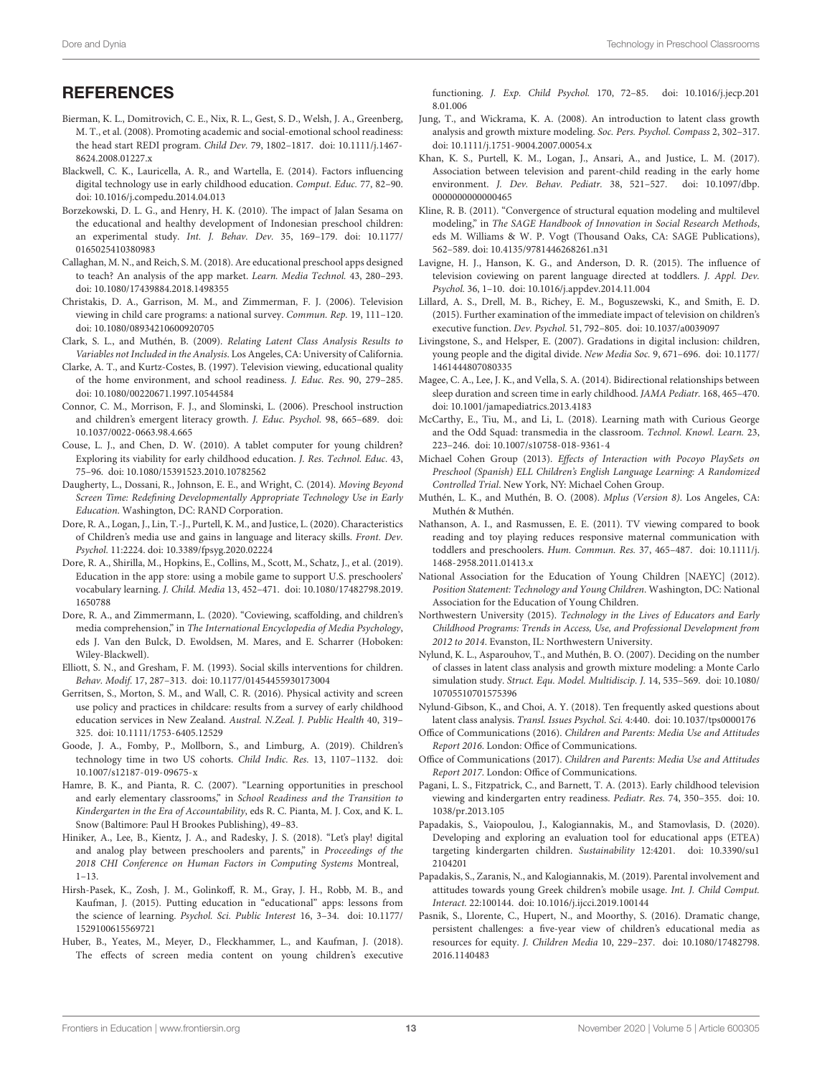## **REFERENCES**

- <span id="page-12-17"></span>Bierman, K. L., Domitrovich, C. E., Nix, R. L., Gest, S. D., Welsh, J. A., Greenberg, M. T., et al. (2008). Promoting academic and social-emotional school readiness: the head start REDI program. Child Dev. 79, 1802–1817. [doi: 10.1111/j.1467-](https://doi.org/10.1111/j.1467-8624.2008.01227.x) [8624.2008.01227.x](https://doi.org/10.1111/j.1467-8624.2008.01227.x)
- <span id="page-12-28"></span>Blackwell, C. K., Lauricella, A. R., and Wartella, E. (2014). Factors influencing digital technology use in early childhood education. Comput. Educ. 77, 82–90. [doi: 10.1016/j.compedu.2014.04.013](https://doi.org/10.1016/j.compedu.2014.04.013)
- <span id="page-12-22"></span>Borzekowski, D. L. G., and Henry, H. K. (2010). The impact of Jalan Sesama on the educational and healthy development of Indonesian preschool children: an experimental study. Int. J. Behav. Dev. 35, 169–179. [doi: 10.1177/](https://doi.org/10.1177/0165025410380983) [0165025410380983](https://doi.org/10.1177/0165025410380983)
- <span id="page-12-13"></span>Callaghan, M. N., and Reich, S. M. (2018). Are educational preschool apps designed to teach? An analysis of the app market. Learn. Media Technol. 43, 280–293. [doi: 10.1080/17439884.2018.1498355](https://doi.org/10.1080/17439884.2018.1498355)
- <span id="page-12-29"></span>Christakis, D. A., Garrison, M. M., and Zimmerman, F. J. (2006). Television viewing in child care programs: a national survey. Commun. Rep. 19, 111–120. [doi: 10.1080/08934210600920705](https://doi.org/10.1080/08934210600920705)
- <span id="page-12-34"></span>Clark, S. L., and Muthén, B. (2009). Relating Latent Class Analysis Results to Variables not Included in the Analysis. Los Angeles, CA: University of California.
- <span id="page-12-10"></span>Clarke, A. T., and Kurtz-Costes, B. (1997). Television viewing, educational quality of the home environment, and school readiness. J. Educ. Res. 90, 279–285. [doi: 10.1080/00220671.1997.10544584](https://doi.org/10.1080/00220671.1997.10544584)
- <span id="page-12-0"></span>Connor, C. M., Morrison, F. J., and Slominski, L. (2006). Preschool instruction and children's emergent literacy growth. J. Educ. Psychol. 98, 665–689. [doi:](https://doi.org/10.1037/0022-0663.98.4.665) [10.1037/0022-0663.98.4.665](https://doi.org/10.1037/0022-0663.98.4.665)
- <span id="page-12-27"></span>Couse, L. J., and Chen, D. W. (2010). A tablet computer for young children? Exploring its viability for early childhood education. J. Res. Technol. Educ. 43, 75–96. [doi: 10.1080/15391523.2010.10782562](https://doi.org/10.1080/15391523.2010.10782562)
- <span id="page-12-24"></span>Daugherty, L., Dossani, R., Johnson, E. E., and Wright, C. (2014). Moving Beyond Screen Time: Redefining Developmentally Appropriate Technology Use in Early Education. Washington, DC: RAND Corporation.
- <span id="page-12-36"></span>Dore, R. A., Logan, J., Lin, T.-J., Purtell, K. M., and Justice, L. (2020). Characteristics of Children's media use and gains in language and literacy skills. Front. Dev. Psychol. 11:2224. [doi: 10.3389/fpsyg.2020.02224](https://doi.org/10.3389/fpsyg.2020.02224)
- <span id="page-12-19"></span>Dore, R. A., Shirilla, M., Hopkins, E., Collins, M., Scott, M., Schatz, J., et al. (2019). Education in the app store: using a mobile game to support U.S. preschoolers' vocabulary learning. J. Child. Media 13, 452–471. [doi: 10.1080/17482798.2019.](https://doi.org/10.1080/17482798.2019.1650788) [1650788](https://doi.org/10.1080/17482798.2019.1650788)
- <span id="page-12-25"></span>Dore, R. A., and Zimmermann, L. (2020). "Coviewing, scaffolding, and children's media comprehension," in The International Encyclopedia of Media Psychology, eds J. Van den Bulck, D. Ewoldsen, M. Mares, and E. Scharrer (Hoboken: Wiley-Blackwell).
- <span id="page-12-14"></span>Elliott, S. N., and Gresham, F. M. (1993). Social skills interventions for children. Behav. Modif. 17, 287–313. [doi: 10.1177/01454455930173004](https://doi.org/10.1177/01454455930173004)
- <span id="page-12-7"></span>Gerritsen, S., Morton, S. M., and Wall, C. R. (2016). Physical activity and screen use policy and practices in childcare: results from a survey of early childhood education services in New Zealand. Austral. N.Zeal. J. Public Health 40, 319– 325. [doi: 10.1111/1753-6405.12529](https://doi.org/10.1111/1753-6405.12529)
- <span id="page-12-5"></span>Goode, J. A., Fomby, P., Mollborn, S., and Limburg, A. (2019). Children's technology time in two US cohorts. Child Indic. Res. 13, 1107–1132. [doi:](https://doi.org/10.1007/s12187-019-09675-x) [10.1007/s12187-019-09675-x](https://doi.org/10.1007/s12187-019-09675-x)
- <span id="page-12-1"></span>Hamre, B. K., and Pianta, R. C. (2007). "Learning opportunities in preschool and early elementary classrooms," in School Readiness and the Transition to Kindergarten in the Era of Accountability, eds R. C. Pianta, M. J. Cox, and K. L. Snow (Baltimore: Paul H Brookes Publishing), 49–83.
- <span id="page-12-38"></span>Hiniker, A., Lee, B., Kientz, J. A., and Radesky, J. S. (2018). "Let's play! digital and analog play between preschoolers and parents," in Proceedings of the 2018 CHI Conference on Human Factors in Computing Systems Montreal, 1–13.
- <span id="page-12-12"></span>Hirsh-Pasek, K., Zosh, J. M., Golinkoff, R. M., Gray, J. H., Robb, M. B., and Kaufman, J. (2015). Putting education in "educational" apps: lessons from the science of learning. Psychol. Sci. Public Interest 16, 3–34. [doi: 10.1177/](https://doi.org/10.1177/1529100615569721) [1529100615569721](https://doi.org/10.1177/1529100615569721)
- <span id="page-12-16"></span>Huber, B., Yeates, M., Meyer, D., Fleckhammer, L., and Kaufman, J. (2018). The effects of screen media content on young children's executive

functioning. J. Exp. Child Psychol. 170, 72–85. [doi: 10.1016/j.jecp.201](https://doi.org/10.1016/j.jecp.2018.01.006) [8.01.006](https://doi.org/10.1016/j.jecp.2018.01.006)

- <span id="page-12-35"></span>Jung, T., and Wickrama, K. A. (2008). An introduction to latent class growth analysis and growth mixture modeling. Soc. Pers. Psychol. Compass 2, 302–317. [doi: 10.1111/j.1751-9004.2007.00054.x](https://doi.org/10.1111/j.1751-9004.2007.00054.x)
- <span id="page-12-8"></span>Khan, K. S., Purtell, K. M., Logan, J., Ansari, A., and Justice, L. M. (2017). Association between television and parent-child reading in the early home environment. J. Dev. Behav. Pediatr. 38, 521–527. [doi: 10.1097/dbp.](https://doi.org/10.1097/dbp.0000000000000465) [0000000000000465](https://doi.org/10.1097/dbp.0000000000000465)
- <span id="page-12-32"></span>Kline, R. B. (2011). "Convergence of structural equation modeling and multilevel modeling," in The SAGE Handbook of Innovation in Social Research Methods, eds M. Williams & W. P. Vogt (Thousand Oaks, CA: SAGE Publications), 562–589. [doi: 10.4135/9781446268261.n31](https://doi.org/10.4135/9781446268261.n31)
- <span id="page-12-26"></span>Lavigne, H. J., Hanson, K. G., and Anderson, D. R. (2015). The influence of television coviewing on parent language directed at toddlers. J. Appl. Dev. Psychol. 36, 1–10. [doi: 10.1016/j.appdev.2014.11.004](https://doi.org/10.1016/j.appdev.2014.11.004)
- <span id="page-12-15"></span>Lillard, A. S., Drell, M. B., Richey, E. M., Boguszewski, K., and Smith, E. D. (2015). Further examination of the immediate impact of television on children's executive function. Dev. Psychol. 51, 792–805. [doi: 10.1037/a0039097](https://doi.org/10.1037/a0039097)
- <span id="page-12-39"></span>Livingstone, S., and Helsper, E. (2007). Gradations in digital inclusion: children, young people and the digital divide. New Media Soc. 9, 671–696. [doi: 10.1177/](https://doi.org/10.1177/1461444807080335) [1461444807080335](https://doi.org/10.1177/1461444807080335)
- <span id="page-12-2"></span>Magee, C. A., Lee, J. K., and Vella, S. A. (2014). Bidirectional relationships between sleep duration and screen time in early childhood. JAMA Pediatr. 168, 465–470. [doi: 10.1001/jamapediatrics.2013.4183](https://doi.org/10.1001/jamapediatrics.2013.4183)
- <span id="page-12-20"></span>McCarthy, E., Tiu, M., and Li, L. (2018). Learning math with Curious George and the Odd Squad: transmedia in the classroom. Technol. Knowl. Learn. 23, 223–246. [doi: 10.1007/s10758-018-9361-4](https://doi.org/10.1007/s10758-018-9361-4)
- <span id="page-12-21"></span>Michael Cohen Group (2013). Effects of Interaction with Pocoyo PlaySets on Preschool (Spanish) ELL Children's English Language Learning: A Randomized Controlled Trial. New York, NY: Michael Cohen Group.
- <span id="page-12-30"></span>Muthén, L. K., and Muthén, B. O. (2008). Mplus (Version 8). Los Angeles, CA: Muthén & Muthén.
- <span id="page-12-9"></span>Nathanson, A. I., and Rasmussen, E. E. (2011). TV viewing compared to book reading and toy playing reduces responsive maternal communication with toddlers and preschoolers. Hum. Commun. Res. 37, 465–487. [doi: 10.1111/j.](https://doi.org/10.1111/j.1468-2958.2011.01413.x) [1468-2958.2011.01413.x](https://doi.org/10.1111/j.1468-2958.2011.01413.x)
- <span id="page-12-18"></span>National Association for the Education of Young Children [NAEYC] (2012). Position Statement: Technology and Young Children. Washington, DC: National Association for the Education of Young Children.
- <span id="page-12-6"></span>Northwestern University (2015). Technology in the Lives of Educators and Early Childhood Programs: Trends in Access, Use, and Professional Development from 2012 to 2014. Evanston, IL: Northwestern University.
- <span id="page-12-33"></span>Nylund, K. L., Asparouhov, T., and Muthén, B. O. (2007). Deciding on the number of classes in latent class analysis and growth mixture modeling: a Monte Carlo simulation study. Struct. Equ. Model. Multidiscip. J. 14, 535–569. [doi: 10.1080/](https://doi.org/10.1080/10705510701575396) [10705510701575396](https://doi.org/10.1080/10705510701575396)
- <span id="page-12-31"></span>Nylund-Gibson, K., and Choi, A. Y. (2018). Ten frequently asked questions about latent class analysis. Transl. Issues Psychol. Sci. 4:440. [doi: 10.1037/tps0000176](https://doi.org/10.1037/tps0000176)
- <span id="page-12-40"></span>Office of Communications (2016). Children and Parents: Media Use and Attitudes Report 2016. London: Office of Communications.
- <span id="page-12-3"></span>Office of Communications (2017). Children and Parents: Media Use and Attitudes Report 2017. London: Office of Communications.
- <span id="page-12-11"></span>Pagani, L. S., Fitzpatrick, C., and Barnett, T. A. (2013). Early childhood television viewing and kindergarten entry readiness. Pediatr. Res. 74, 350–355. [doi: 10.](https://doi.org/10.1038/pr.2013.105) [1038/pr.2013.105](https://doi.org/10.1038/pr.2013.105)
- <span id="page-12-37"></span>Papadakis, S., Vaiopoulou, J., Kalogiannakis, M., and Stamovlasis, D. (2020). Developing and exploring an evaluation tool for educational apps (ETEA) targeting kindergarten children. Sustainability 12:4201. [doi: 10.3390/su1](https://doi.org/10.3390/su12104201) [2104201](https://doi.org/10.3390/su12104201)
- <span id="page-12-4"></span>Papadakis, S., Zaranis, N., and Kalogiannakis, M. (2019). Parental involvement and attitudes towards young Greek children's mobile usage. Int. J. Child Comput. Interact. 22:100144. [doi: 10.1016/j.ijcci.2019.100144](https://doi.org/10.1016/j.ijcci.2019.100144)
- <span id="page-12-23"></span>Pasnik, S., Llorente, C., Hupert, N., and Moorthy, S. (2016). Dramatic change, persistent challenges: a five-year view of children's educational media as resources for equity. J. Children Media 10, 229–237. [doi: 10.1080/17482798.](https://doi.org/10.1080/17482798.2016.1140483) [2016.1140483](https://doi.org/10.1080/17482798.2016.1140483)